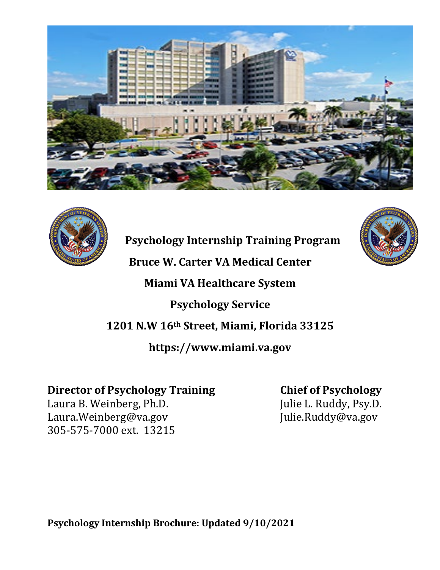



**Psychology Internship Training Program** 

**Bruce W. Carter VA Medical Center**

**Miami VA Healthcare System**

**Psychology Service**

**1201 N.W 16th Street, Miami, Florida 33125**

**https://www.miami.va.gov**

# **Director of Psychology Training Chief of Psychology**

Laura B. Weinberg, Ph.D. [Julie L. Ruddy, Psy.D.]<br>Laura.Weinberg@va.gov [Julie.Ruddy@va.gov Laura.Weinberg@va.gov 305-575-7000 ext. 13215

**Psychology Internship Brochure: Updated 9/10/2021**

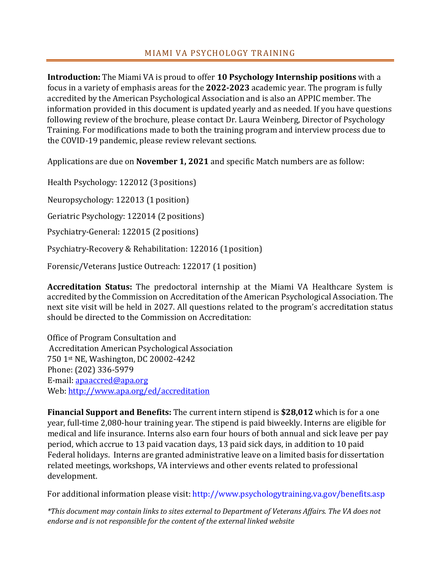# MIAMI VA PSYCHOLOGY TRAINING

**Introduction:** The Miami VA is proud to offer **10 Psychology Internship positions** with a focus in a variety of emphasis areas for the **2022-2023** academic year. The program is fully accredited by the American Psychological Association and is also an APPIC member. The information provided in this document is updated yearly and as needed. If you have questions following review of the brochure, please contact Dr. Laura Weinberg, Director of Psychology Training. For modifications made to both the training program and interview process due to the COVID-19 pandemic, please review relevant sections.

Applications are due on **November 1, 2021** and specific Match numbers are as follow:

Health Psychology: 122012 (3positions)

Neuropsychology: 122013 (1 position)

Geriatric Psychology: 122014 (2 positions)

Psychiatry-General: 122015 (2positions)

Psychiatry-Recovery & Rehabilitation: 122016 (1position)

Forensic/Veterans Justice Outreach: 122017 (1 position)

**Accreditation Status:** The predoctoral internship at the Miami VA Healthcare System is accredited by the Commission on Accreditation of the American Psychological Association. The next site visit will be held in 2027. All questions related to the program's accreditation status should be directed to the Commission on Accreditation:

Office of Program Consultation and Accreditation American Psychological Association 750 1st NE, Washington, DC 20002-4242 Phone: (202) 336-5979 E-mail: [apaaccred@apa.org](mailto:apaaccred@apa.org) Web:<http://www.apa.org/ed/accreditation>

**Financial Support and Benefits:** The current intern stipend is **\$28,012** which is for a one year, full-time 2,080-hour training year. The stipend is paid biweekly. Interns are eligible for medical and life insurance. Interns also earn four hours of both annual and sick leave per pay period, which accrue to 13 paid vacation days, 13 paid sick days, in addition to 10 paid Federal holidays. Interns are granted administrative leave on a limited basis for dissertation related meetings, workshops, VA interviews and other events related to professional development.

For additional information please visit: http://www.psychologytraining.va.gov/benefits.asp

*\*This document may contain links to sites external to Department of Veterans Affairs. The VA does not endorse and is not responsible for the content of the external linked website*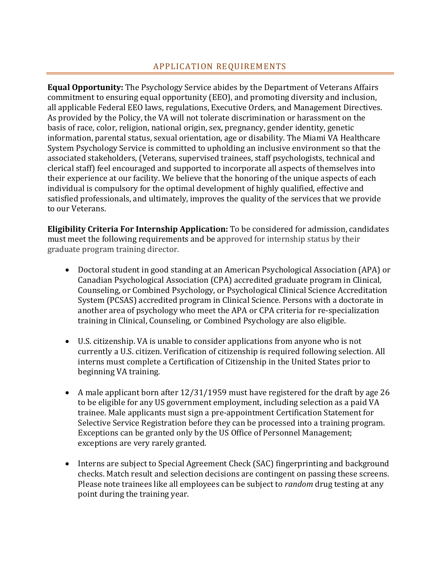# APPLICATION REQUIREMENTS

**Equal Opportunity:** The Psychology Service abides by the Department of Veterans Affairs commitment to ensuring equal opportunity (EEO), and promoting diversity and inclusion, all applicable Federal EEO laws, regulations, Executive Orders, and Management Directives. As provided by the Policy, the VA will not tolerate discrimination or harassment on the basis of race, color, religion, national origin, sex, pregnancy, gender identity, genetic information, parental status, sexual orientation, age or disability. The Miami VA Healthcare System Psychology Service is committed to upholding an inclusive environment so that the associated stakeholders, (Veterans, supervised trainees, staff psychologists, technical and clerical staff) feel encouraged and supported to incorporate all aspects of themselves into their experience at our facility. We believe that the honoring of the unique aspects of each individual is compulsory for the optimal development of highly qualified, effective and satisfied professionals, and ultimately, improves the quality of the services that we provide to our Veterans.

**Eligibility Criteria For Internship Application:** To be considered for admission, candidates must meet the following requirements and be approved for internship status by their graduate program training director.

- Doctoral student in good standing at an American Psychological Association (APA) or Canadian Psychological Association (CPA) accredited graduate program in Clinical, Counseling, or Combined Psychology, or Psychological Clinical Science Accreditation System (PCSAS) accredited program in Clinical Science. Persons with a doctorate in another area of psychology who meet the APA or CPA criteria for re-specialization training in Clinical, Counseling, or Combined Psychology are also eligible.
- U.S. citizenship. VA is unable to consider applications from anyone who is not currently a U.S. citizen. Verification of citizenship is required following selection. All interns must complete a Certification of Citizenship in the United States prior to beginning VA training.
- A male applicant born after 12/31/1959 must have registered for the draft by age 26 to be eligible for any US government employment, including selection as a paid VA trainee. Male applicants must sign a pre-appointment Certification Statement for Selective Service Registration before they can be processed into a training program. Exceptions can be granted only by the US Office of Personnel Management; exceptions are very rarely granted.
- Interns are subject to Special Agreement Check (SAC) fingerprinting and background checks. Match result and selection decisions are contingent on passing these screens. Please note trainees like all employees can be subject to *random* drug testing at any point during the training year.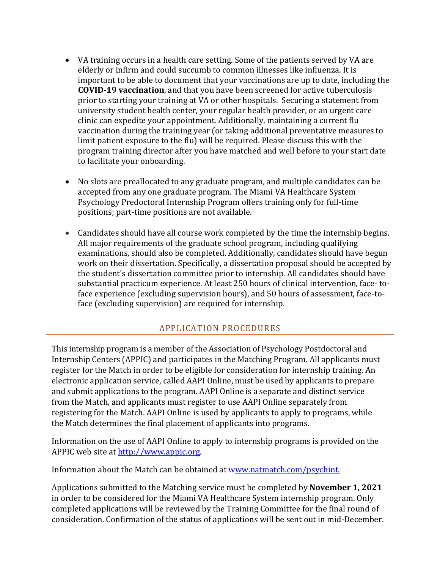- VA training occurs in a health care setting. Some of the patients served by VA are elderly or infirm and could succumb to common illnesses like influenza. It is important to be able to document that your vaccinations are up to date, including the **COVID-19 vaccination**, and that you have been screened for active tuberculosis prior to starting your training at VA or other hospitals. Securing a statement from university student health center, your regular health provider, or an urgent care clinic can expedite your appointment. Additionally, maintaining a current flu vaccination during the training year (or taking additional preventative measures to limit patient exposure to the flu) will be required. Please discuss this with the program training director after you have matched and well before to your start date to facilitate your onboarding.
- No slots are preallocated to any graduate program, and multiple candidates can be accepted from any one graduate program. The Miami VA Healthcare System Psychology Predoctoral Internship Program offers training only for full-time positions; part-time positions are not available.
- Candidates should have all course work completed by the time the internship begins. All major requirements of the graduate school program, including qualifying examinations, should also be completed. Additionally, candidates should have begun work on their dissertation. Specifically, a dissertation proposal should be accepted by the student's dissertation committee prior to internship. All candidates should have substantial practicum experience. At least 250 hours of clinical intervention, face- toface experience (excluding supervision hours), and 50 hours of assessment, face-toface (excluding supervision) are required for internship.

### APPLICATION PROCEDURES

This internship program is a member of the Association of Psychology Postdoctoral and Internship Centers (APPIC) and participates in the Matching Program. All applicants must register for the Match in order to be eligible for consideration for internship training. An electronic application service, called AAPI Online, must be used by applicants to prepare and submit applications to the program. AAPI Online is a separate and distinct service from the Match, and applicants must register to use AAPI Online separately from registering for the Match. AAPI Online is used by applicants to apply to programs, while the Match determines the final placement of applicants into programs.

Information on the use of AAPI Online to apply to internship programs is provided on the APPIC web site at [http://www.appic.org.](http://www.appic.org/) 

Information about the Match can be obtained at [www.natmatch.com/psychint.](http://www.natmatch.com/psychint)

Applications submitted to the Matching service must be completed by **November 1, 2021** in order to be considered for the Miami VA Healthcare System internship program. Only completed applications will be reviewed by the Training Committee for the final round of consideration. Confirmation of the status of applications will be sent out in mid-December.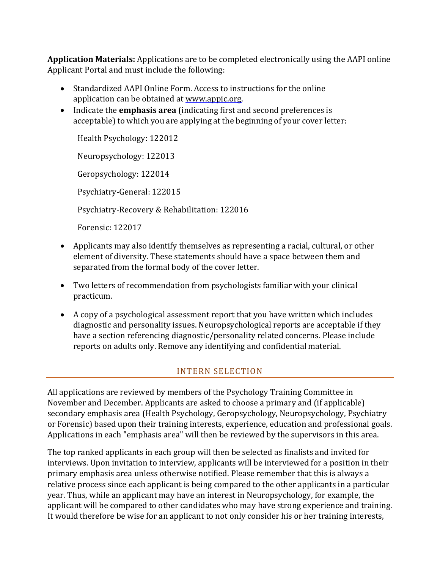**Application Materials:** Applications are to be completed electronically using the AAPI online Applicant Portal and must include the following:

- Standardized AAPI Online Form. Access to instructions for the online application can be obtained at [www.appic.org.](http://www.appic.org/)
- Indicate the **emphasis area** (indicating first and second preferences is acceptable) to which you are applying at the beginning of your cover letter:

Health Psychology: 122012

Neuropsychology: 122013

Geropsychology: 122014

Psychiatry-General: 122015

Psychiatry-Recovery & Rehabilitation: 122016

Forensic: 122017

- Applicants may also identify themselves as representing a racial, cultural, or other element of diversity. These statements should have a space between them and separated from the formal body of the cover letter.
- Two letters of recommendation from psychologists familiar with your clinical practicum.
- A copy of a psychological assessment report that you have written which includes diagnostic and personality issues. Neuropsychological reports are acceptable if they have a section referencing diagnostic/personality related concerns. Please include reports on adults only. Remove any identifying and confidential material.

### INTERN SELECTION

All applications are reviewed by members of the Psychology Training Committee in November and December. Applicants are asked to choose a primary and (if applicable) secondary emphasis area (Health Psychology, Geropsychology, Neuropsychology, Psychiatry or Forensic) based upon their training interests, experience, education and professional goals. Applications in each "emphasis area" will then be reviewed by the supervisors in this area.

The top ranked applicants in each group will then be selected as finalists and invited for interviews. Upon invitation to interview, applicants will be interviewed for a position in their primary emphasis area unless otherwise notified. Please remember that this is always a relative process since each applicant is being compared to the other applicants in a particular year. Thus, while an applicant may have an interest in Neuropsychology, for example, the applicant will be compared to other candidates who may have strong experience and training. It would therefore be wise for an applicant to not only consider his or her training interests,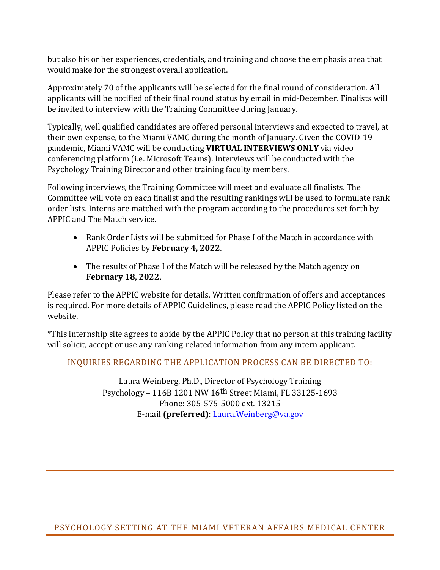but also his or her experiences, credentials, and training and choose the emphasis area that would make for the strongest overall application.

Approximately 70 of the applicants will be selected for the final round of consideration. All applicants will be notified of their final round status by email in mid-December. Finalists will be invited to interview with the Training Committee during January.

Typically, well qualified candidates are offered personal interviews and expected to travel, at their own expense, to the Miami VAMC during the month of January. Given the COVID-19 pandemic, Miami VAMC will be conducting **VIRTUAL INTERVIEWS ONLY** via video conferencing platform (i.e. Microsoft Teams). Interviews will be conducted with the Psychology Training Director and other training faculty members.

Following interviews, the Training Committee will meet and evaluate all finalists. The Committee will vote on each finalist and the resulting rankings will be used to formulate rank order lists. Interns are matched with the program according to the procedures set forth by APPIC and The Match service.

- Rank Order Lists will be submitted for Phase I of the Match in accordance with APPIC Policies by **February 4, 2022**.
- The results of Phase I of the Match will be released by the Match agency on **February 18, 2022.**

Please refer to the APPIC website for details. Written confirmation of offers and acceptances is required. For more details of APPIC Guidelines, please read the APPIC Policy listed on the website.

\*This internship site agrees to abide by the APPIC Policy that no person at this training facility will solicit, accept or use any ranking-related information from any intern applicant.

INQUIRIES REGARDING THE APPLICATION PROCESS CAN BE DIRECTED TO:

Laura Weinberg, Ph.D., Director of Psychology Training Psychology – 116B 1201 NW 16th Street Miami, FL 33125-1693 Phone: 305-575-5000 ext. 13215 E-mail **(preferred)**: [Laura.Weinberg@va.gov](mailto:regina.pavone@va.gov)

PSYCHOLOGY SETTING AT THE MIAMI VETERAN AFFAIRS MEDICAL CENTER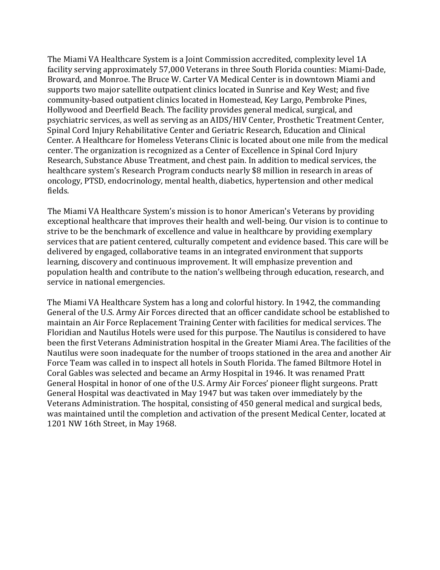The Miami VA Healthcare System is a Joint Commission accredited, complexity level 1A facility serving approximately 57,000 Veterans in three South Florida counties: Miami-Dade, Broward, and Monroe. The Bruce W. Carter VA Medical Center is in downtown Miami and supports two major satellite outpatient clinics located in Sunrise and Key West; and five community-based outpatient clinics located in Homestead, Key Largo, Pembroke Pines, Hollywood and Deerfield Beach. The facility provides general medical, surgical, and psychiatric services, as well as serving as an AIDS/HIV Center, Prosthetic Treatment Center, Spinal Cord Injury Rehabilitative Center and Geriatric Research, Education and Clinical Center. A Healthcare for Homeless Veterans Clinic is located about one mile from the medical center. The organization is recognized as a Center of Excellence in Spinal Cord Injury Research, Substance Abuse Treatment, and chest pain. In addition to medical services, the healthcare system's Research Program conducts nearly \$8 million in research in areas of oncology, PTSD, endocrinology, mental health, diabetics, hypertension and other medical fields.

The Miami VA Healthcare System's mission is to honor American's Veterans by providing exceptional healthcare that improves their health and well-being. Our vision is to continue to strive to be the benchmark of excellence and value in healthcare by providing exemplary services that are patient centered, culturally competent and evidence based. This care will be delivered by engaged, collaborative teams in an integrated environment that supports learning, discovery and continuous improvement. It will emphasize prevention and population health and contribute to the nation's wellbeing through education, research, and service in national emergencies.

The Miami VA Healthcare System has a long and colorful history. In 1942, the commanding General of the U.S. Army Air Forces directed that an officer candidate school be established to maintain an Air Force Replacement Training Center with facilities for medical services. The Floridian and Nautilus Hotels were used for this purpose. The Nautilus is considered to have been the first Veterans Administration hospital in the Greater Miami Area. The facilities of the Nautilus were soon inadequate for the number of troops stationed in the area and another Air Force Team was called in to inspect all hotels in South Florida. The famed Biltmore Hotel in Coral Gables was selected and became an Army Hospital in 1946. It was renamed Pratt General Hospital in honor of one of the U.S. Army Air Forces' pioneer flight surgeons. Pratt General Hospital was deactivated in May 1947 but was taken over immediately by the Veterans Administration. The hospital, consisting of 450 general medical and surgical beds, was maintained until the completion and activation of the present Medical Center, located at 1201 NW 16th Street, in May 1968.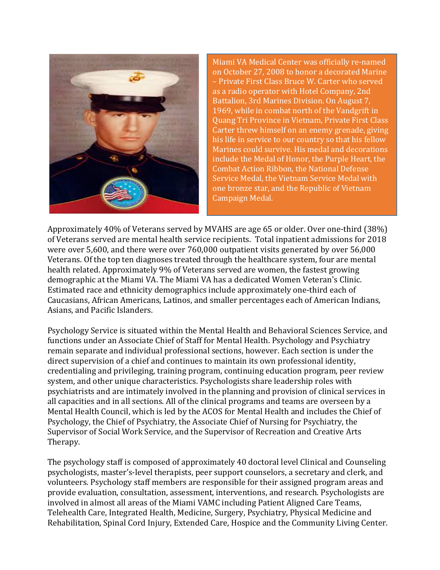

Miami VA Medical Center was officially re-named on October 27, 2008 to honor a decorated Marine – Private First Class Bruce W. Carter who served as a radio operator with Hotel Company, 2nd Battalion, 3rd Marines Division. On August 7, 1969, while in combat north of the Vandgrift in Quang Tri Province in Vietnam, Private First Class Carter threw himself on an enemy grenade, giving his life in service to our country so that his fellow Marines could survive. His medal and decorations include the Medal of Honor, the Purple Heart, the Combat Action Ribbon, the National Defense Service Medal, the Vietnam Service Medal with one bronze star, and the Republic of Vietnam Campaign Medal.

Approximately 40% of Veterans served by MVAHS are age 65 or older. Over one-third (38%) of Veterans served are mental health service recipients. Total inpatient admissions for 2018 were over 5,600, and there were over 760,000 outpatient visits generated by over 56,000 Veterans. Of the top ten diagnoses treated through the healthcare system, four are mental health related. Approximately 9% of Veterans served are women, the fastest growing demographic at the Miami VA. The Miami VA has a dedicated Women Veteran's Clinic. Estimated race and ethnicity demographics include approximately one-third each of Caucasians, African Americans, Latinos, and smaller percentages each of American Indians, Asians, and Pacific Islanders.

Psychology Service is situated within the Mental Health and Behavioral Sciences Service, and functions under an Associate Chief of Staff for Mental Health. Psychology and Psychiatry remain separate and individual professional sections, however. Each section is under the direct supervision of a chief and continues to maintain its own professional identity, credentialing and privileging, training program, continuing education program, peer review system, and other unique characteristics. Psychologists share leadership roles with psychiatrists and are intimately involved in the planning and provision of clinical services in all capacities and in all sections. All of the clinical programs and teams are overseen by a Mental Health Council, which is led by the ACOS for Mental Health and includes the Chief of Psychology, the Chief of Psychiatry, the Associate Chief of Nursing for Psychiatry, the Supervisor of Social Work Service, and the Supervisor of Recreation and Creative Arts Therapy.

The psychology staff is composed of approximately 40 doctoral level Clinical and Counseling psychologists, master's-level therapists, peer support counselors, a secretary and clerk, and volunteers. Psychology staff members are responsible for their assigned program areas and provide evaluation, consultation, assessment, interventions, and research. Psychologists are involved in almost all areas of the Miami VAMC including Patient Aligned Care Teams, Telehealth Care, Integrated Health, Medicine, Surgery, Psychiatry, Physical Medicine and Rehabilitation, Spinal Cord Injury, Extended Care, Hospice and the Community Living Center.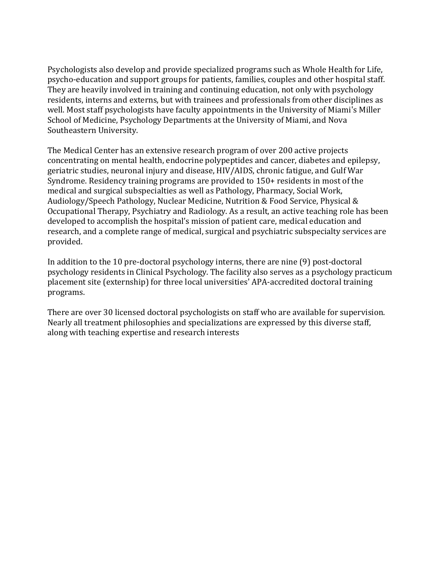Psychologists also develop and provide specialized programs such as Whole Health for Life, psycho-education and support groups for patients, families, couples and other hospital staff. They are heavily involved in training and continuing education, not only with psychology residents, interns and externs, but with trainees and professionals from other disciplines as well. Most staff psychologists have faculty appointments in the University of Miami's Miller School of Medicine, Psychology Departments at the University of Miami, and Nova Southeastern University.

The Medical Center has an extensive research program of over 200 active projects concentrating on mental health, endocrine polypeptides and cancer, diabetes and epilepsy, geriatric studies, neuronal injury and disease, HIV/AIDS, chronic fatigue, and Gulf War Syndrome. Residency training programs are provided to 150+ residents in most of the medical and surgical subspecialties as well as Pathology, Pharmacy, Social Work, Audiology/Speech Pathology, Nuclear Medicine, Nutrition & Food Service, Physical & Occupational Therapy, Psychiatry and Radiology. As a result, an active teaching role has been developed to accomplish the hospital's mission of patient care, medical education and research, and a complete range of medical, surgical and psychiatric subspecialty services are provided.

In addition to the 10 pre-doctoral psychology interns, there are nine (9) post-doctoral psychology residents in Clinical Psychology. The facility also serves as a psychology practicum placement site (externship) for three local universities' APA-accredited doctoral training programs.

There are over 30 licensed doctoral psychologists on staff who are available for supervision. Nearly all treatment philosophies and specializations are expressed by this diverse staff, along with teaching expertise and research interests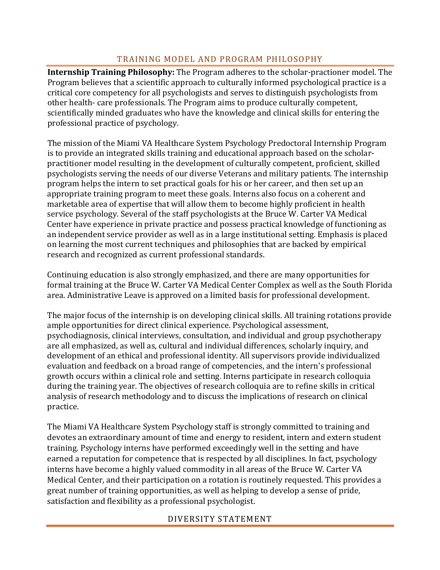# TRAINING MODEL AND PROGRAM PHILOSOPHY

**Internship Training Philosophy:** The Program adheres to the scholar-practioner model. The Program believes that a scientific approach to culturally informed psychological practice is a critical core competency for all psychologists and serves to distinguish psychologists from other health- care professionals. The Program aims to produce culturally competent, scientifically minded graduates who have the knowledge and clinical skills for entering the professional practice of psychology.

The mission of the Miami VA Healthcare System Psychology Predoctoral Internship Program is to provide an integrated skills training and educational approach based on the scholarpractitioner model resulting in the development of culturally competent, proficient, skilled psychologists serving the needs of our diverse Veterans and military patients. The internship program helps the intern to set practical goals for his or her career, and then set up an appropriate training program to meet these goals. Interns also focus on a coherent and marketable area of expertise that will allow them to become highly proficient in health service psychology. Several of the staff psychologists at the Bruce W. Carter VA Medical Center have experience in private practice and possess practical knowledge of functioning as an independent service provider as well as in a large institutional setting. Emphasis is placed on learning the most current techniques and philosophies that are backed by empirical research and recognized as current professional standards.

Continuing education is also strongly emphasized, and there are many opportunities for formal training at the Bruce W. Carter VA Medical Center Complex as well as the South Florida area. Administrative Leave is approved on a limited basis for professional development.

The major focus of the internship is on developing clinical skills. All training rotations provide ample opportunities for direct clinical experience. Psychological assessment, psychodiagnosis, clinical interviews, consultation, and individual and group psychotherapy are all emphasized, as well as, cultural and individual differences, scholarly inquiry, and development of an ethical and professional identity. All supervisors provide individualized evaluation and feedback on a broad range of competencies, and the intern's professional growth occurs within a clinical role and setting. Interns participate in research colloquia during the training year. The objectives of research colloquia are to refine skills in critical analysis of research methodology and to discuss the implications of research on clinical practice.

The Miami VA Healthcare System Psychology staff is strongly committed to training and devotes an extraordinary amount of time and energy to resident, intern and extern student training. Psychology interns have performed exceedingly well in the setting and have earned a reputation for competence that is respected by all disciplines. In fact, psychology interns have become a highly valued commodity in all areas of the Bruce W. Carter VA Medical Center, and their participation on a rotation is routinely requested. This provides a great number of training opportunities, as well as helping to develop a sense of pride, satisfaction and flexibility as a professional psychologist.

### DIVERSITY STATEMENT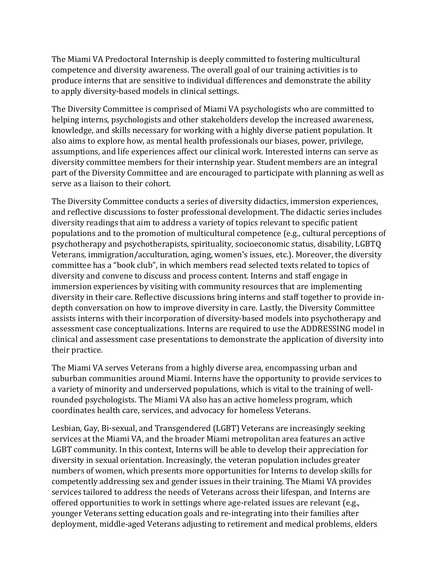The Miami VA Predoctoral Internship is deeply committed to fostering multicultural competence and diversity awareness. The overall goal of our training activities is to produce interns that are sensitive to individual differences and demonstrate the ability to apply diversity-based models in clinical settings.

The Diversity Committee is comprised of Miami VA psychologists who are committed to helping interns, psychologists and other stakeholders develop the increased awareness, knowledge, and skills necessary for working with a highly diverse patient population. It also aims to explore how, as mental health professionals our biases, power, privilege, assumptions, and life experiences affect our clinical work. Interested interns can serve as diversity committee members for their internship year. Student members are an integral part of the Diversity Committee and are encouraged to participate with planning as well as serve as a liaison to their cohort.

The Diversity Committee conducts a series of diversity didactics, immersion experiences, and reflective discussions to foster professional development. The didactic series includes diversity readings that aim to address a variety of topics relevant to specific patient populations and to the promotion of multicultural competence (e.g., cultural perceptions of psychotherapy and psychotherapists, spirituality, socioeconomic status, disability, LGBTQ Veterans, immigration/acculturation, aging, women's issues, etc.). Moreover, the diversity committee has a "book club", in which members read selected texts related to topics of diversity and convene to discuss and process content. Interns and staff engage in immersion experiences by visiting with community resources that are implementing diversity in their care. Reflective discussions bring interns and staff together to provide indepth conversation on how to improve diversity in care. Lastly, the Diversity Committee assists interns with their incorporation of diversity-based models into psychotherapy and assessment case conceptualizations. Interns are required to use the ADDRESSING model in clinical and assessment case presentations to demonstrate the application of diversity into their practice.

The Miami VA serves Veterans from a highly diverse area, encompassing urban and suburban communities around Miami. Interns have the opportunity to provide services to a variety of minority and underserved populations, which is vital to the training of wellrounded psychologists. The Miami VA also has an active homeless program, which coordinates health care, services, and advocacy for homeless Veterans.

Lesbian, Gay, Bi-sexual, and Transgendered (LGBT) Veterans are increasingly seeking services at the Miami VA, and the broader Miami metropolitan area features an active LGBT community. In this context, Interns will be able to develop their appreciation for diversity in sexual orientation. Increasingly, the veteran population includes greater numbers of women, which presents more opportunities for Interns to develop skills for competently addressing sex and gender issues in their training. The Miami VA provides services tailored to address the needs of Veterans across their lifespan, and Interns are offered opportunities to work in settings where age-related issues are relevant (e.g., younger Veterans setting education goals and re-integrating into their families after deployment, middle-aged Veterans adjusting to retirement and medical problems, elders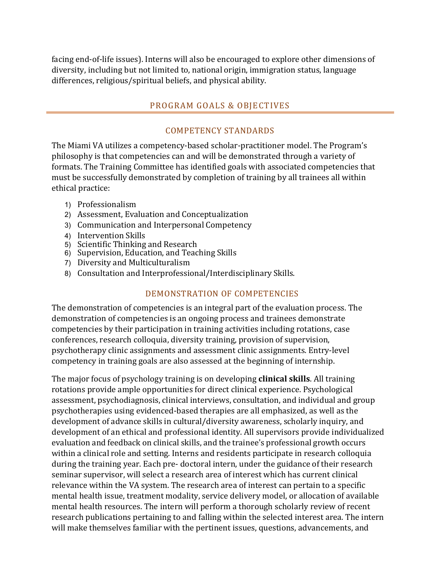facing end-of-life issues). Interns will also be encouraged to explore other dimensions of diversity, including but not limited to, national origin, immigration status, language differences, religious/spiritual beliefs, and physical ability.

#### PROGRAM GOALS & OBJECTIVES

#### COMPETENCY STANDARDS

The Miami VA utilizes a competency-based scholar-practitioner model. The Program's philosophy is that competencies can and will be demonstrated through a variety of formats. The Training Committee has identified goals with associated competencies that must be successfully demonstrated by completion of training by all trainees all within ethical practice:

- 1) Professionalism
- 2) Assessment, Evaluation and Conceptualization
- 3) Communication and Interpersonal Competency
- 4) Intervention Skills
- 5) Scientific Thinking and Research
- 6) Supervision, Education, and Teaching Skills
- 7) Diversity and Multiculturalism
- 8) Consultation and Interprofessional/Interdisciplinary Skills.

#### DEMONSTRATION OF COMPETENCIES

The demonstration of competencies is an integral part of the evaluation process. The demonstration of competencies is an ongoing process and trainees demonstrate competencies by their participation in training activities including rotations, case conferences, research colloquia, diversity training, provision of supervision, psychotherapy clinic assignments and assessment clinic assignments. Entry-level competency in training goals are also assessed at the beginning of internship.

The major focus of psychology training is on developing **clinical skills**. All training rotations provide ample opportunities for direct clinical experience. Psychological assessment, psychodiagnosis, clinical interviews, consultation, and individual and group psychotherapies using evidenced-based therapies are all emphasized, as well as the development of advance skills in cultural/diversity awareness, scholarly inquiry, and development of an ethical and professional identity. All supervisors provide individualized evaluation and feedback on clinical skills, and the trainee's professional growth occurs within a clinical role and setting. Interns and residents participate in research colloquia during the training year. Each pre- doctoral intern, under the guidance of their research seminar supervisor, will select a research area of interest which has current clinical relevance within the VA system. The research area of interest can pertain to a specific mental health issue, treatment modality, service delivery model, or allocation of available mental health resources. The intern will perform a thorough scholarly review of recent research publications pertaining to and falling within the selected interest area. The intern will make themselves familiar with the pertinent issues, questions, advancements, and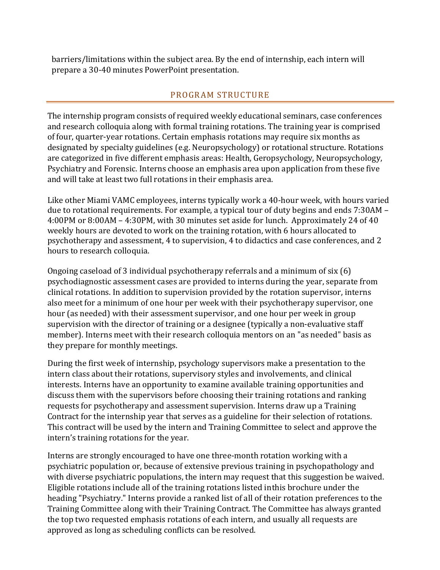barriers/limitations within the subject area. By the end of internship, each intern will prepare a 30-40 minutes PowerPoint presentation.

### PROGRAM STRUCTURE

The internship program consists of required weekly educational seminars, case conferences and research colloquia along with formal training rotations. The training year is comprised of four, quarter-year rotations. Certain emphasis rotations may require six months as designated by specialty guidelines (e.g. Neuropsychology) or rotational structure. Rotations are categorized in five different emphasis areas: Health, Geropsychology, Neuropsychology, Psychiatry and Forensic. Interns choose an emphasis area upon application from these five and will take at least two full rotations in their emphasis area.

Like other Miami VAMC employees, interns typically work a 40-hour week, with hours varied due to rotational requirements. For example, a typical tour of duty begins and ends 7:30AM – 4:00PM or 8:00AM – 4:30PM, with 30 minutes set aside for lunch. Approximately 24 of 40 weekly hours are devoted to work on the training rotation, with 6 hours allocated to psychotherapy and assessment, 4 to supervision, 4 to didactics and case conferences, and 2 hours to research colloquia.

Ongoing caseload of 3 individual psychotherapy referrals and a minimum of six (6) psychodiagnostic assessment cases are provided to interns during the year, separate from clinical rotations. In addition to supervision provided by the rotation supervisor, interns also meet for a minimum of one hour per week with their psychotherapy supervisor, one hour (as needed) with their assessment supervisor, and one hour per week in group supervision with the director of training or a designee (typically a non-evaluative staff member). Interns meet with their research colloquia mentors on an "as needed" basis as they prepare for monthly meetings.

During the first week of internship, psychology supervisors make a presentation to the intern class about their rotations, supervisory styles and involvements, and clinical interests. Interns have an opportunity to examine available training opportunities and discuss them with the supervisors before choosing their training rotations and ranking requests for psychotherapy and assessment supervision. Interns draw up a Training Contract for the internship year that serves as a guideline for their selection of rotations. This contract will be used by the intern and Training Committee to select and approve the intern's training rotations for the year.

Interns are strongly encouraged to have one three-month rotation working with a psychiatric population or, because of extensive previous training in psychopathology and with diverse psychiatric populations, the intern may request that this suggestion be waived. Eligible rotations include all of the training rotations listed inthis brochure under the heading "Psychiatry." Interns provide a ranked list of all of their rotation preferences to the Training Committee along with their Training Contract. The Committee has always granted the top two requested emphasis rotations of each intern, and usually all requests are approved as long as scheduling conflicts can be resolved.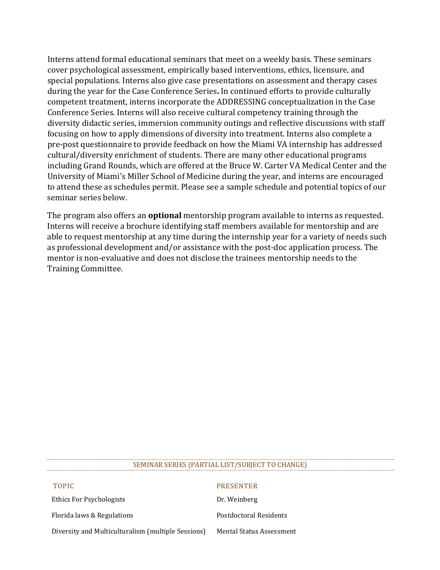Interns attend formal educational seminars that meet on a weekly basis. These seminars cover psychological assessment, empirically based interventions, ethics, licensure, and special populations. Interns also give case presentations on assessment and therapy cases during the year for the Case Conference Series**.** In continued efforts to provide culturally competent treatment, interns incorporate the ADDRESSING conceptualization in the Case Conference Series. Interns will also receive cultural competency training through the diversity didactic series, immersion community outings and reflective discussions with staff focusing on how to apply dimensions of diversity into treatment. Interns also complete a pre-post questionnaire to provide feedback on how the Miami VA internship has addressed cultural/diversity enrichment of students. There are many other educational programs including Grand Rounds, which are offered at the Bruce W. Carter VA Medical Center and the University of Miami's Miller School of Medicine during the year, and interns are encouraged to attend these as schedules permit. Please see a sample schedule and potential topics of our seminar series below.

The program also offers an **optional** mentorship program available to interns as requested. Interns will receive a brochure identifying staff members available for mentorship and are able to request mentorship at any time during the internship year for a variety of needs such as professional development and/or assistance with the post-doc application process. The mentor is non-evaluative and does not disclose the trainees mentorship needs to the Training Committee.

#### SEMINAR SERIES (PARTIAL LIST/SUBJECT TO CHANGE)

| <b>TOPIC</b>                                       | <b>PRESENTER</b>                |
|----------------------------------------------------|---------------------------------|
| Ethics For Psychologists                           | Dr. Weinberg                    |
| Florida laws & Regulations                         | Postdoctoral Residents          |
| Diversity and Multiculturalism (multiple Sessions) | <b>Mental Status Assessment</b> |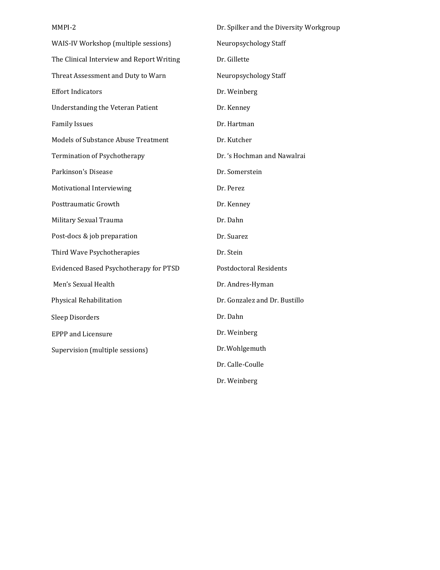| MMPI-2                                     | Dr. Spilker and the Diversity Workgroup |  |
|--------------------------------------------|-----------------------------------------|--|
| WAIS-IV Workshop (multiple sessions)       | Neuropsychology Staff                   |  |
| The Clinical Interview and Report Writing  | Dr. Gillette                            |  |
| Threat Assessment and Duty to Warn         | Neuropsychology Staff                   |  |
| <b>Effort Indicators</b>                   | Dr. Weinberg                            |  |
| <b>Understanding the Veteran Patient</b>   | Dr. Kenney                              |  |
| <b>Family Issues</b>                       | Dr. Hartman                             |  |
| <b>Models of Substance Abuse Treatment</b> | Dr. Kutcher                             |  |
| Termination of Psychotherapy               | Dr. 's Hochman and Nawalrai             |  |
| Parkinson's Disease                        | Dr. Somerstein                          |  |
| Motivational Interviewing                  | Dr. Perez                               |  |
| Posttraumatic Growth                       | Dr. Kenney                              |  |
| Military Sexual Trauma                     | Dr. Dahn                                |  |
| Post-docs & job preparation                | Dr. Suarez                              |  |
| Third Wave Psychotherapies                 | Dr. Stein                               |  |
| Evidenced Based Psychotherapy for PTSD     | <b>Postdoctoral Residents</b>           |  |
| Men's Sexual Health                        | Dr. Andres-Hyman                        |  |
| Physical Rehabilitation                    | Dr. Gonzalez and Dr. Bustillo           |  |
| Sleep Disorders                            | Dr. Dahn                                |  |
| <b>EPPP</b> and Licensure                  | Dr. Weinberg                            |  |
| Supervision (multiple sessions)            | Dr. Wohlgemuth                          |  |
|                                            | Dr. Calle-Coulle                        |  |
|                                            | Dr. Weinberg                            |  |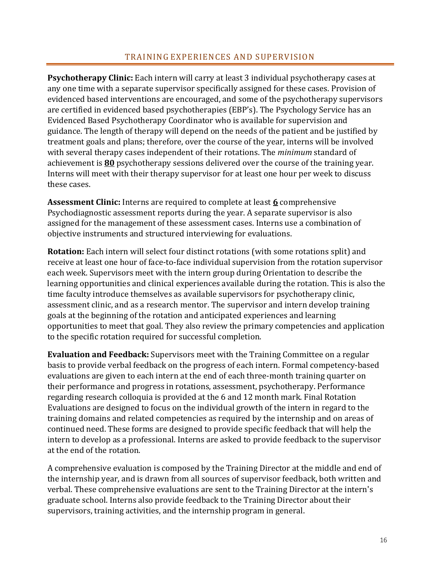### TRAINING EXPERIENCES AND SUPERVISION

**Psychotherapy Clinic:** Each intern will carry at least 3 individual psychotherapy cases at any one time with a separate supervisor specifically assigned for these cases. Provision of evidenced based interventions are encouraged, and some of the psychotherapy supervisors are certified in evidenced based psychotherapies (EBP's). The Psychology Service has an Evidenced Based Psychotherapy Coordinator who is available for supervision and guidance. The length of therapy will depend on the needs of the patient and be justified by treatment goals and plans; therefore, over the course of the year, interns will be involved with several therapy cases independent of their rotations. The *minimum* standard of achievement is **80** psychotherapy sessions delivered over the course of the training year. Interns will meet with their therapy supervisor for at least one hour per week to discuss these cases.

**Assessment Clinic:** Interns are required to complete at least **6** comprehensive Psychodiagnostic assessment reports during the year. A separate supervisor is also assigned for the management of these assessment cases. Interns use a combination of objective instruments and structured interviewing for evaluations.

**Rotation:** Each intern will select four distinct rotations (with some rotations split) and receive at least one hour of face-to-face individual supervision from the rotation supervisor each week. Supervisors meet with the intern group during Orientation to describe the learning opportunities and clinical experiences available during the rotation. This is also the time faculty introduce themselves as available supervisors for psychotherapy clinic, assessment clinic, and as a research mentor. The supervisor and intern develop training goals at the beginning of the rotation and anticipated experiences and learning opportunities to meet that goal. They also review the primary competencies and application to the specific rotation required for successful completion.

**Evaluation and Feedback:** Supervisors meet with the Training Committee on a regular basis to provide verbal feedback on the progress of each intern. Formal competency-based evaluations are given to each intern at the end of each three-month training quarter on their performance and progress in rotations, assessment, psychotherapy. Performance regarding research colloquia is provided at the 6 and 12 month mark. Final Rotation Evaluations are designed to focus on the individual growth of the intern in regard to the training domains and related competencies as required by the internship and on areas of continued need. These forms are designed to provide specific feedback that will help the intern to develop as a professional. Interns are asked to provide feedback to the supervisor at the end of the rotation.

A comprehensive evaluation is composed by the Training Director at the middle and end of the internship year, and is drawn from all sources of supervisor feedback, both written and verbal. These comprehensive evaluations are sent to the Training Director at the intern's graduate school. Interns also provide feedback to the Training Director about their supervisors, training activities, and the internship program in general.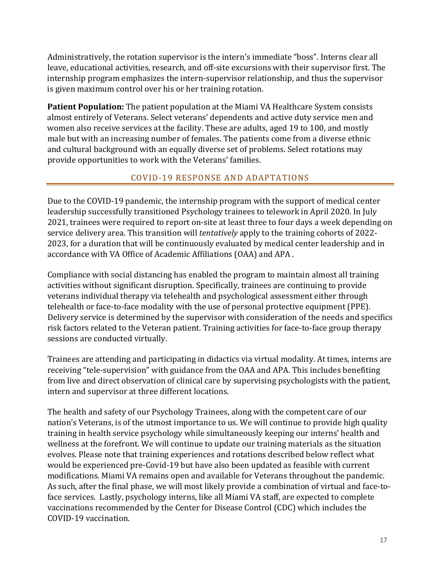Administratively, the rotation supervisor is the intern's immediate "boss". Interns clear all leave, educational activities, research, and off-site excursions with their supervisor first. The internship program emphasizes the intern-supervisor relationship, and thus the supervisor is given maximum control over his or her training rotation.

**Patient Population:** The patient population at the Miami VA Healthcare System consists almost entirely of Veterans. Select veterans' dependents and active duty service men and women also receive services at the facility. These are adults, aged 19 to 100, and mostly male but with an increasing number of females. The patients come from a diverse ethnic and cultural background with an equally diverse set of problems. Select rotations may provide opportunities to work with the Veterans' families.

# COVID-19 RESPONSE AND ADAPTATIONS

Due to the COVID-19 pandemic, the internship program with the support of medical center leadership successfully transitioned Psychology trainees to telework in April 2020. In July 2021, trainees were required to report on-site at least three to four days a week depending on service delivery area. This transition will *tentatively* apply to the training cohorts of 2022- 2023, for a duration that will be continuously evaluated by medical center leadership and in accordance with VA Office of Academic Affiliations (OAA) and APA .

Compliance with social distancing has enabled the program to maintain almost all training activities without significant disruption. Specifically, trainees are continuing to provide veterans individual therapy via telehealth and psychological assessment either through telehealth or face-to-face modality with the use of personal protective equipment (PPE). Delivery service is determined by the supervisor with consideration of the needs and specifics risk factors related to the Veteran patient. Training activities for face-to-face group therapy sessions are conducted virtually.

Trainees are attending and participating in didactics via virtual modality. At times, interns are receiving "tele-supervision" with guidance from the OAA and APA. This includes benefiting from live and direct observation of clinical care by supervising psychologists with the patient, intern and supervisor at three different locations.

The health and safety of our Psychology Trainees, along with the competent care of our nation's Veterans, is of the utmost importance to us. We will continue to provide high quality training in health service psychology while simultaneously keeping our interns' health and wellness at the forefront. We will continue to update our training materials as the situation evolves. Please note that training experiences and rotations described below reflect what would be experienced pre-Covid-19 but have also been updated as feasible with current modifications. Miami VA remains open and available for Veterans throughout the pandemic. As such, after the final phase, we will most likely provide a combination of virtual and face-toface services. Lastly, psychology interns, like all Miami VA staff, are expected to complete vaccinations recommended by the Center for Disease Control (CDC) which includes the COVID-19 vaccination.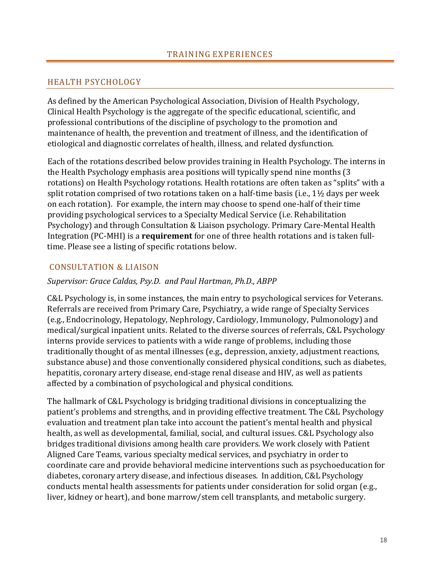### HEALTH PSYCHOLOGY

As defined by the American Psychological Association, Division of Health Psychology, Clinical Health Psychology is the aggregate of the specific educational, scientific, and professional contributions of the discipline of psychology to the promotion and maintenance of health, the prevention and treatment of illness, and the identification of etiological and diagnostic correlates of health, illness, and related dysfunction.

Each of the rotations described below provides training in Health Psychology. The interns in the Health Psychology emphasis area positions will typically spend nine months (3 rotations) on Health Psychology rotations. Health rotations are often taken as "splits" with a split rotation comprised of two rotations taken on a half-time basis (i.e., 1½ days per week on each rotation). For example, the intern may choose to spend one-half of their time providing psychological services to a Specialty Medical Service (i.e. Rehabilitation Psychology) and through Consultation & Liaison psychology. Primary Care-Mental Health Integration (PC-MHI) is a **requirement** for one of three health rotations and is taken fulltime. Please see a listing of specific rotations below.

### CONSULTATION & LIAISON

#### *Supervisor: Grace Caldas, Psy.D. and Paul Hartman, Ph.D., ABPP*

C&L Psychology is, in some instances, the main entry to psychological services for Veterans. Referrals are received from Primary Care, Psychiatry, a wide range of Specialty Services (e.g., Endocrinology, Hepatology, Nephrology, Cardiology, Immunology, Pulmonology) and medical/surgical inpatient units. Related to the diverse sources of referrals, C&L Psychology interns provide services to patients with a wide range of problems, including those traditionally thought of as mental illnesses (e.g., depression, anxiety, adjustment reactions, substance abuse) and those conventionally considered physical conditions, such as diabetes, hepatitis, coronary artery disease, end-stage renal disease and HIV, as well as patients affected by a combination of psychological and physical conditions.

The hallmark of C&L Psychology is bridging traditional divisions in conceptualizing the patient's problems and strengths, and in providing effective treatment. The C&L Psychology evaluation and treatment plan take into account the patient's mental health and physical health, as well as developmental, familial, social, and cultural issues. C&L Psychology also bridges traditional divisions among health care providers. We work closely with Patient Aligned Care Teams, various specialty medical services, and psychiatry in order to coordinate care and provide behavioral medicine interventions such as psychoeducation for diabetes, coronary artery disease, and infectious diseases. In addition, C&L Psychology conducts mental health assessments for patients under consideration for solid organ (e.g., liver, kidney or heart), and bone marrow/stem cell transplants, and metabolic surgery.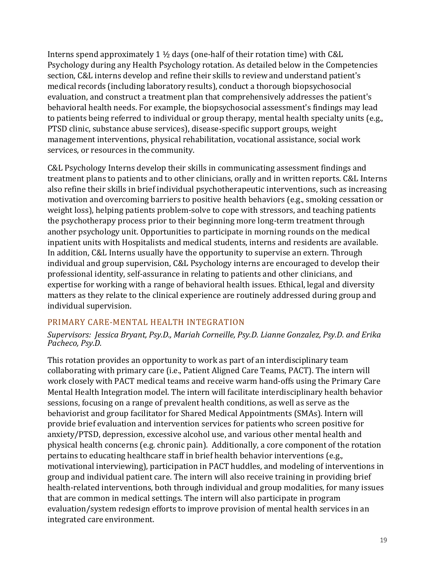Interns spend approximately 1  $\frac{1}{2}$  days (one-half of their rotation time) with C&L Psychology during any Health Psychology rotation. As detailed below in the Competencies section, C&L interns develop and refine their skills to review and understand patient's medical records (including laboratory results), conduct a thorough biopsychosocial evaluation, and construct a treatment plan that comprehensively addresses the patient's behavioral health needs. For example, the biopsychosocial assessment's findings may lead to patients being referred to individual or group therapy, mental health specialty units (e.g., PTSD clinic, substance abuse services), disease-specific support groups, weight management interventions, physical rehabilitation, vocational assistance, social work services, or resources in the community.

C&L Psychology Interns develop their skills in communicating assessment findings and treatment plans to patients and to other clinicians, orally and in written reports. C&L Interns also refine their skills in brief individual psychotherapeutic interventions, such as increasing motivation and overcoming barriers to positive health behaviors (e.g., smoking cessation or weight loss), helping patients problem-solve to cope with stressors, and teaching patients the psychotherapy process prior to their beginning more long-term treatment through another psychology unit. Opportunities to participate in morning rounds on the medical inpatient units with Hospitalists and medical students, interns and residents are available. In addition, C&L Interns usually have the opportunity to supervise an extern. Through individual and group supervision, C&L Psychology interns are encouraged to develop their professional identity, self-assurance in relating to patients and other clinicians, and expertise for working with a range of behavioral health issues. Ethical, legal and diversity matters as they relate to the clinical experience are routinely addressed during group and individual supervision.

### PRIMARY CARE-MENTAL HEALTH INTEGRATION

*Supervisors: Jessica Bryant, Psy.D., Mariah Corneille, Psy.D. Lianne Gonzalez, Psy.D. and Erika Pacheco, Psy.D.* 

This rotation provides an opportunity to work as part of an interdisciplinary team collaborating with primary care (i.e., Patient Aligned Care Teams, PACT). The intern will work closely with PACT medical teams and receive warm hand-offs using the Primary Care Mental Health Integration model. The intern will facilitate interdisciplinary health behavior sessions, focusing on a range of prevalent health conditions, as well as serve as the behaviorist and group facilitator for Shared Medical Appointments (SMAs). Intern will provide brief evaluation and intervention services for patients who screen positive for anxiety/PTSD, depression, excessive alcohol use, and various other mental health and physical health concerns (e.g. chronic pain). Additionally, a core component of the rotation pertains to educating healthcare staff in brief health behavior interventions (e.g., motivational interviewing), participation in PACT huddles, and modeling of interventions in group and individual patient care. The intern will also receive training in providing brief health-related interventions, both through individual and group modalities, for many issues that are common in medical settings. The intern will also participate in program evaluation/system redesign efforts to improve provision of mental health services in an integrated care environment.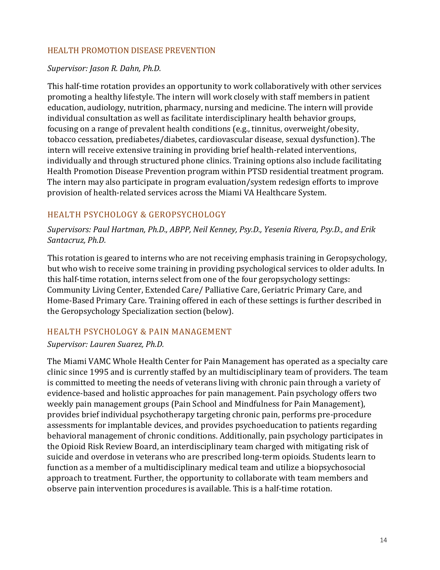### HEALTH PROMOTION DISEASE PREVENTION

#### *Supervisor: Jason R. Dahn, Ph.D.*

This half-time rotation provides an opportunity to work collaboratively with other services promoting a healthy lifestyle. The intern will work closely with staff members in patient education, audiology, nutrition, pharmacy, nursing and medicine. The intern will provide individual consultation as well as facilitate interdisciplinary health behavior groups, focusing on a range of prevalent health conditions (e.g., tinnitus, overweight/obesity, tobacco cessation, prediabetes/diabetes, cardiovascular disease, sexual dysfunction). The intern will receive extensive training in providing brief health-related interventions, individually and through structured phone clinics. Training options also include facilitating Health Promotion Disease Prevention program within PTSD residential treatment program. The intern may also participate in program evaluation/system redesign efforts to improve provision of health-related services across the Miami VA Healthcare System.

### HEALTH PSYCHOLOGY & GEROPSYCHOLOGY

*Supervisors: Paul Hartman, Ph.D., ABPP, Neil Kenney, Psy.D., Yesenia Rivera, Psy.D., and Erik Santacruz, Ph.D.*

This rotation is geared to interns who are not receiving emphasis training in Geropsychology, but who wish to receive some training in providing psychological services to older adults. In this half-time rotation, interns select from one of the four geropsychology settings: Community Living Center, Extended Care/ Palliative Care, Geriatric Primary Care, and Home-Based Primary Care. Training offered in each of these settings is further described in the Geropsychology Specialization section(below).

### HEALTH PSYCHOLOGY & PAIN MANAGEMENT

### *Supervisor: Lauren Suarez, Ph.D.*

The Miami VAMC Whole Health Center for Pain Management has operated as a specialty care clinic since 1995 and is currently staffed by an multidisciplinary team of providers. The team is committed to meeting the needs of veterans living with chronic pain through a variety of evidence-based and holistic approaches for pain management. Pain psychology offers two weekly pain management groups (Pain School and Mindfulness for Pain Management), provides brief individual psychotherapy targeting chronic pain, performs pre-procedure assessments for implantable devices, and provides psychoeducation to patients regarding behavioral management of chronic conditions. Additionally, pain psychology participates in the Opioid Risk Review Board, an interdisciplinary team charged with mitigating risk of suicide and overdose in veterans who are prescribed long-term opioids. Students learn to function as a member of a multidisciplinary medical team and utilize a biopsychosocial approach to treatment. Further, the opportunity to collaborate with team members and observe pain intervention procedures is available. This is a half-time rotation.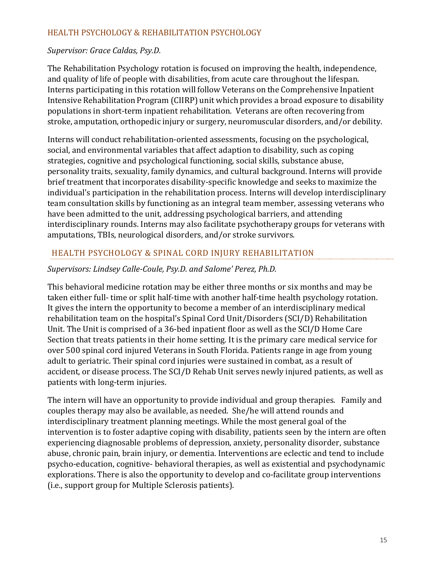### HEALTH PSYCHOLOGY & REHABILITATION PSYCHOLOGY

### *Supervisor: Grace Caldas, Psy.D.*

The Rehabilitation Psychology rotation is focused on improving the health, independence, and quality of life of people with disabilities, from acute care throughout the lifespan. Interns participating in this rotation will follow Veterans on the Comprehensive Inpatient Intensive Rehabilitation Program (CIIRP) unit which provides a broad exposure to disability populations in short-term inpatient rehabilitation. Veterans are often recovering from stroke, amputation, orthopedic injury or surgery, neuromuscular disorders, and/or debility.

Interns will conduct rehabilitation-oriented assessments, focusing on the psychological, social, and environmental variables that affect adaption to disability, such as coping strategies, cognitive and psychological functioning, social skills, substance abuse, personality traits, sexuality, family dynamics, and cultural background. Interns will provide brief treatment that incorporates disability-specific knowledge and seeks to maximize the individual's participation in the rehabilitation process. Interns will develop interdisciplinary team consultation skills by functioning as an integral team member, assessing veterans who have been admitted to the unit, addressing psychological barriers, and attending interdisciplinary rounds. Interns may also facilitate psychotherapy groups for veterans with amputations, TBIs, neurological disorders, and/or stroke survivors.

### HEALTH PSYCHOLOGY & SPINAL CORD INJURY REHABILITATION

### *Supervisors: Lindsey Calle-Coule, Psy.D. and Salome' Perez, Ph.D.*

This behavioral medicine rotation may be either three months or six months and may be taken either full- time or split half-time with another half-time health psychology rotation. It gives the intern the opportunity to become a member of an interdisciplinary medical rehabilitation team on the hospital's Spinal Cord Unit/Disorders (SCI/D) Rehabilitation Unit. The Unit is comprised of a 36-bed inpatient floor as well as the SCI/D Home Care Section that treats patients in their home setting. It is the primary care medical service for over 500 spinal cord injured Veterans in South Florida. Patients range in age from young adult to geriatric. Their spinal cord injuries were sustained in combat, as a result of accident, or disease process. The SCI/D Rehab Unit serves newly injured patients, as well as patients with long-term injuries.

The intern will have an opportunity to provide individual and group therapies. Family and couples therapy may also be available, as needed. She/he will attend rounds and interdisciplinary treatment planning meetings. While the most general goal of the intervention is to foster adaptive coping with disability, patients seen by the intern are often experiencing diagnosable problems of depression, anxiety, personality disorder, substance abuse, chronic pain, brain injury, or dementia. Interventions are eclectic and tend to include psycho-education, cognitive- behavioral therapies, as well as existential and psychodynamic explorations. There is also the opportunity to develop and co-facilitate group interventions (i.e., support group for Multiple Sclerosis patients).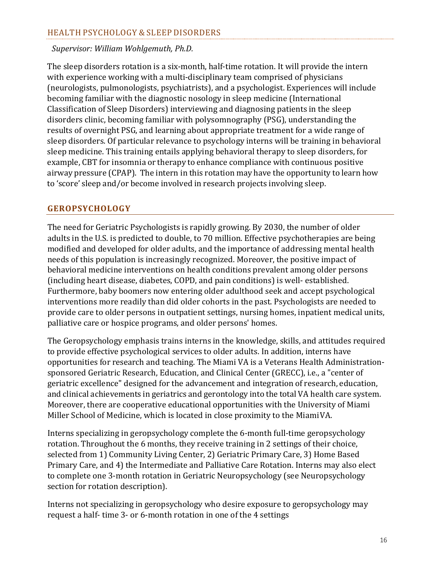### HEALTH PSYCHOLOGY & SLEEP DISORDERS

#### *Supervisor: William Wohlgemuth, Ph.D.*

The sleep disorders rotation is a six-month, half-time rotation. It will provide the intern with experience working with a multi-disciplinary team comprised of physicians (neurologists, pulmonologists, psychiatrists), and a psychologist. Experiences will include becoming familiar with the diagnostic nosology in sleep medicine (International Classification of Sleep Disorders) interviewing and diagnosing patients in the sleep disorders clinic, becoming familiar with polysomnography (PSG), understanding the results of overnight PSG, and learning about appropriate treatment for a wide range of sleep disorders. Of particular relevance to psychology interns will be training in behavioral sleep medicine. This training entails applying behavioral therapy to sleep disorders, for example, CBT for insomnia or therapy to enhance compliance with continuous positive airway pressure (CPAP). The intern in this rotation may have the opportunity to learn how to 'score' sleep and/or become involved in research projects involving sleep.

#### **GEROPSYCHOLOGY**

The need for Geriatric Psychologists is rapidly growing. By 2030, the number of older adults in the U.S. is predicted to double, to 70 million. Effective psychotherapies are being modified and developed for older adults, and the importance of addressing mental health needs of this population is increasingly recognized. Moreover, the positive impact of behavioral medicine interventions on health conditions prevalent among older persons (including heart disease, diabetes, COPD, and pain conditions) is well- established. Furthermore, baby boomers now entering older adulthood seek and accept psychological interventions more readily than did older cohorts in the past. Psychologists are needed to provide care to older persons in outpatient settings, nursing homes, inpatient medical units, palliative care or hospice programs, and older persons' homes.

The Geropsychology emphasis trains interns in the knowledge, skills, and attitudes required to provide effective psychological services to older adults. In addition, interns have opportunities for research and teaching. The Miami VA is a Veterans Health Administrationsponsored Geriatric Research, Education, and Clinical Center (GRECC), i.e., a "center of geriatric excellence" designed for the advancement and integration of research, education, and clinical achievements in geriatrics and gerontology into the total VA health care system. Moreover, there are cooperative educational opportunities with the University of Miami Miller School of Medicine, which is located in close proximity to the MiamiVA.

Interns specializing in geropsychology complete the 6-month full-time geropsychology rotation. Throughout the 6 months, they receive training in 2 settings of their choice, selected from 1) Community Living Center, 2) Geriatric Primary Care, 3) Home Based Primary Care, and 4) the Intermediate and Palliative Care Rotation. Interns may also elect to complete one 3-month rotation in Geriatric Neuropsychology (see Neuropsychology section for rotation description).

Interns not specializing in geropsychology who desire exposure to geropsychology may request a half- time 3- or 6-month rotation in one of the 4 settings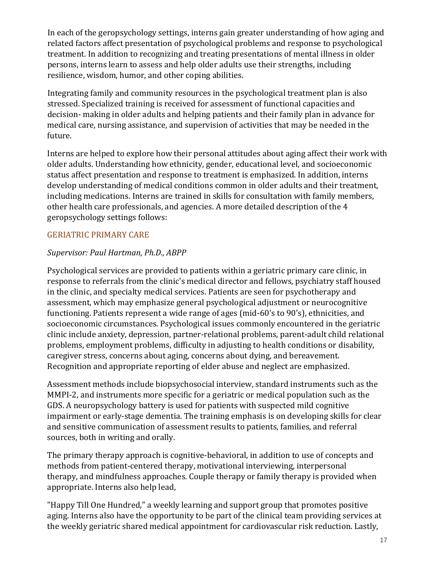In each of the geropsychology settings, interns gain greater understanding of how aging and related factors affect presentation of psychological problems and response to psychological treatment. In addition to recognizing and treating presentations of mental illness in older persons, interns learn to assess and help older adults use their strengths, including resilience, wisdom, humor, and other coping abilities.

Integrating family and community resources in the psychological treatment plan is also stressed. Specialized training is received for assessment of functional capacities and decision- making in older adults and helping patients and their family plan in advance for medical care, nursing assistance, and supervision of activities that may be needed in the future.

Interns are helped to explore how their personal attitudes about aging affect their work with older adults. Understanding how ethnicity, gender, educational level, and socioeconomic status affect presentation and response to treatment is emphasized. In addition, interns develop understanding of medical conditions common in older adults and their treatment, including medications. Interns are trained in skills for consultation with family members, other health care professionals, and agencies. A more detailed description of the 4 geropsychology settings follows:

# GERIATRIC PRIMARY CARE

### *Supervisor: Paul Hartman, Ph.D., ABPP*

Psychological services are provided to patients within a geriatric primary care clinic, in response to referrals from the clinic's medical director and fellows, psychiatry staff housed in the clinic, and specialty medical services. Patients are seen for psychotherapy and assessment, which may emphasize general psychological adjustment or neurocognitive functioning. Patients represent a wide range of ages (mid-60's to 90's), ethnicities, and socioeconomic circumstances. Psychological issues commonly encountered in the geriatric clinic include anxiety, depression, partner-relational problems, parent-adult child relational problems, employment problems, difficulty in adjusting to health conditions or disability, caregiver stress, concerns about aging, concerns about dying, and bereavement. Recognition and appropriate reporting of elder abuse and neglect are emphasized.

Assessment methods include biopsychosocial interview, standard instruments such as the MMPI-2, and instruments more specific for a geriatric or medical population such as the GDS. A neuropsychology battery is used for patients with suspected mild cognitive impairment or early-stage dementia. The training emphasis is on developing skills for clear and sensitive communication of assessment results to patients, families, and referral sources, both in writing and orally.

The primary therapy approach is cognitive-behavioral, in addition to use of concepts and methods from patient-centered therapy, motivational interviewing, interpersonal therapy, and mindfulness approaches. Couple therapy or family therapy is provided when appropriate. Interns also help lead,

"Happy Till One Hundred," a weekly learning and support group that promotes positive aging. Interns also have the opportunity to be part of the clinical team providing services at the weekly geriatric shared medical appointment for cardiovascular risk reduction. Lastly,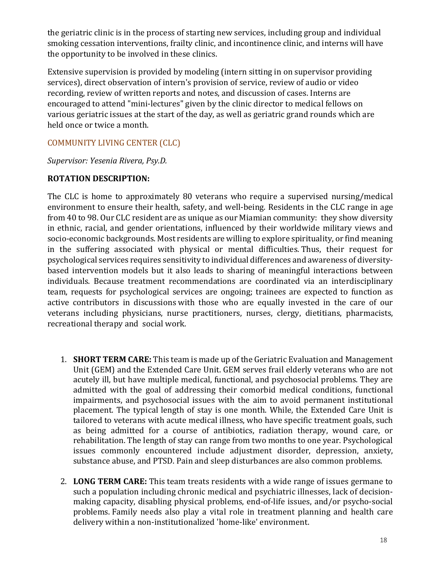the geriatric clinic is in the process of starting new services, including group and individual smoking cessation interventions, frailty clinic, and incontinence clinic, and interns will have the opportunity to be involved in these clinics.

Extensive supervision is provided by modeling (intern sitting in on supervisor providing services), direct observation of intern's provision of service, review of audio or video recording, review of written reports and notes, and discussion of cases. Interns are encouraged to attend "mini-lectures" given by the clinic director to medical fellows on various geriatric issues at the start of the day, as well as geriatric grand rounds which are held once or twice a month.

### COMMUNITY LIVING CENTER (CLC)

*Supervisor: Yesenia Rivera, Psy.D.*

### **ROTATION DESCRIPTION:**

The CLC is home to approximately 80 veterans who require a supervised nursing/medical environment to ensure their health, safety, and well-being. Residents in the CLC range in age from 40 to 98. Our CLC resident are as unique as our Miamian community: they show diversity in ethnic, racial, and gender orientations, influenced by their worldwide military views and socio-economic backgrounds. Most residents are willing to explore spirituality, or find meaning in the suffering associated with physical or mental difficulties. Thus, their request for psychological services requires sensitivity to individual differences and awareness of diversitybased intervention models but it also leads to sharing of meaningful interactions between individuals. Because treatment recommendations are coordinated via an interdisciplinary team, requests for psychological services are ongoing; trainees are expected to function as active contributors in discussions with those who are equally invested in the care of our veterans including physicians, nurse practitioners, nurses, clergy, dietitians, pharmacists, recreational therapy and social work.

- 1. **SHORT TERM CARE:** This team is made up of the Geriatric Evaluation and Management Unit (GEM) and the Extended Care Unit. GEM serves frail elderly veterans who are not acutely ill, but have multiple medical, functional, and psychosocial problems. They are admitted with the goal of addressing their comorbid medical conditions, functional impairments, and psychosocial issues with the aim to avoid permanent institutional placement. The typical length of stay is one month. While, the Extended Care Unit is tailored to veterans with acute medical illness, who have specific treatment goals, such as being admitted for a course of antibiotics, radiation therapy, wound care, or rehabilitation. The length of stay can range from two months to one year. Psychological issues commonly encountered include adjustment disorder, depression, anxiety, substance abuse, and PTSD. Pain and sleep disturbances are also common problems.
- 2. **LONG TERM CARE:** This team treats residents with a wide range of issues germane to such a population including chronic medical and psychiatric illnesses, lack of decisionmaking capacity, disabling physical problems, end-of-life issues, and/or psycho-social problems. Family needs also play a vital role in treatment planning and health care delivery within a non-institutionalized 'home-like' environment.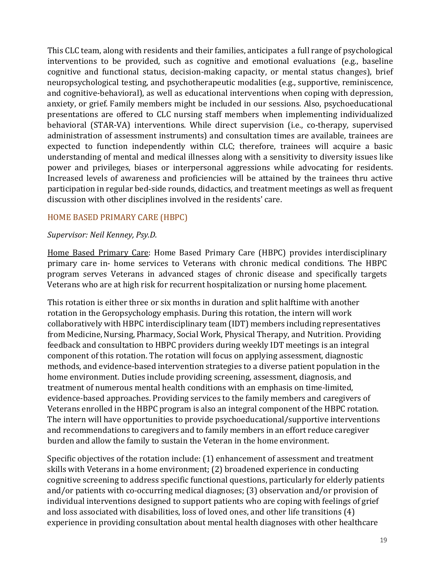This CLC team, along with residents and their families, anticipates a full range of psychological interventions to be provided, such as cognitive and emotional evaluations (e.g., baseline cognitive and functional status, decision-making capacity, or mental status changes), brief neuropsychological testing, and psychotherapeutic modalities (e.g., supportive, reminiscence, and cognitive-behavioral), as well as educational interventions when coping with depression, anxiety, or grief. Family members might be included in our sessions. Also, psychoeducational presentations are offered to CLC nursing staff members when implementing individualized behavioral (STAR-VA) interventions. While direct supervision (i.e., co-therapy, supervised administration of assessment instruments) and consultation times are available, trainees are expected to function independently within CLC; therefore, trainees will acquire a basic understanding of mental and medical illnesses along with a sensitivity to diversity issues like power and privileges, biases or interpersonal aggressions while advocating for residents. Increased levels of awareness and proficiencies will be attained by the trainees thru active participation in regular bed-side rounds, didactics, and treatment meetings as well as frequent discussion with other disciplines involved in the residents' care.

### HOME BASED PRIMARY CARE (HBPC)

#### *Supervisor: Neil Kenney, Psy.D.*

Home Based Primary Care: Home Based Primary Care (HBPC) provides interdisciplinary primary care in- home services to Veterans with chronic medical conditions. The HBPC program serves Veterans in advanced stages of chronic disease and specifically targets Veterans who are at high risk for recurrent hospitalization or nursing home placement.

This rotation is either three or six months in duration and split halftime with another rotation in the Geropsychology emphasis. During this rotation, the intern will work collaboratively with HBPC interdisciplinary team (IDT) members including representatives from Medicine, Nursing, Pharmacy, Social Work, Physical Therapy, and Nutrition. Providing feedback and consultation to HBPC providers during weekly IDT meetings is an integral component of this rotation. The rotation will focus on applying assessment, diagnostic methods, and evidence-based intervention strategies to a diverse patient population in the home environment. Duties include providing screening, assessment, diagnosis, and treatment of numerous mental health conditions with an emphasis on time-limited, evidence-based approaches. Providing services to the family members and caregivers of Veterans enrolled in the HBPC program is also an integral component of the HBPC rotation. The intern will have opportunities to provide psychoeducational/supportive interventions and recommendations to caregivers and to family members in an effort reduce caregiver burden and allow the family to sustain the Veteran in the home environment.

Specific objectives of the rotation include: (1) enhancement of assessment and treatment skills with Veterans in a home environment; (2) broadened experience in conducting cognitive screening to address specific functional questions, particularly for elderly patients and/or patients with co-occurring medical diagnoses; (3) observation and/or provision of individual interventions designed to support patients who are coping with feelings of grief and loss associated with disabilities, loss of loved ones, and other life transitions (4) experience in providing consultation about mental health diagnoses with other healthcare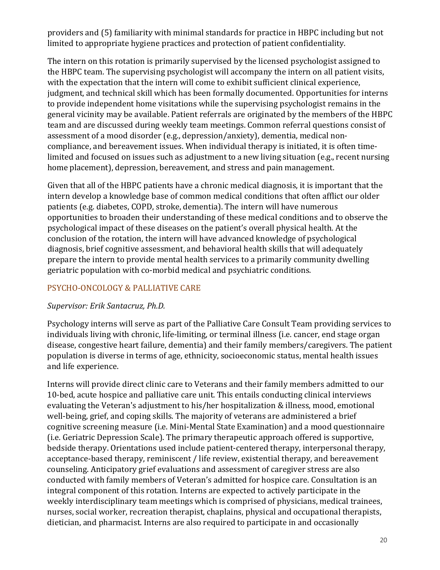providers and (5) familiarity with minimal standards for practice in HBPC including but not limited to appropriate hygiene practices and protection of patient confidentiality.

The intern on this rotation is primarily supervised by the licensed psychologist assigned to the HBPC team. The supervising psychologist will accompany the intern on all patient visits, with the expectation that the intern will come to exhibit sufficient clinical experience, judgment, and technical skill which has been formally documented. Opportunities for interns to provide independent home visitations while the supervising psychologist remains in the general vicinity may be available. Patient referrals are originated by the members of the HBPC team and are discussed during weekly team meetings. Common referral questions consist of assessment of a mood disorder (e.g., depression/anxiety), dementia, medical noncompliance, and bereavement issues. When individual therapy is initiated, it is often timelimited and focused on issues such as adjustment to a new living situation (e.g., recent nursing home placement), depression, bereavement, and stress and pain management.

Given that all of the HBPC patients have a chronic medical diagnosis, it is important that the intern develop a knowledge base of common medical conditions that often afflict our older patients (e.g. diabetes, COPD, stroke, dementia). The intern will have numerous opportunities to broaden their understanding of these medical conditions and to observe the psychological impact of these diseases on the patient's overall physical health. At the conclusion of the rotation, the intern will have advanced knowledge of psychological diagnosis, brief cognitive assessment, and behavioral health skills that will adequately prepare the intern to provide mental health services to a primarily community dwelling geriatric population with co-morbid medical and psychiatric conditions.

### PSYCHO-ONCOLOGY & PALLIATIVE CARE

### *Supervisor: Erik Santacruz, Ph.D.*

Psychology interns will serve as part of the Palliative Care Consult Team providing services to individuals living with chronic, life-limiting, or terminal illness (i.e. cancer, end stage organ disease, congestive heart failure, dementia) and their family members/caregivers. The patient population is diverse in terms of age, ethnicity, socioeconomic status, mental health issues and life experience.

Interns will provide direct clinic care to Veterans and their family members admitted to our 10-bed, acute hospice and palliative care unit. This entails conducting clinical interviews evaluating the Veteran's adjustment to his/her hospitalization & illness, mood, emotional well-being, grief, and coping skills. The majority of veterans are administered a brief cognitive screening measure (i.e. Mini-Mental State Examination) and a mood questionnaire (i.e. Geriatric Depression Scale). The primary therapeutic approach offered is supportive, bedside therapy. Orientations used include patient-centered therapy, interpersonal therapy, acceptance-based therapy, reminiscent / life review, existential therapy, and bereavement counseling. Anticipatory grief evaluations and assessment of caregiver stress are also conducted with family members of Veteran's admitted for hospice care. Consultation is an integral component of this rotation. Interns are expected to actively participate in the weekly interdisciplinary team meetings which is comprised of physicians, medical trainees, nurses, social worker, recreation therapist, chaplains, physical and occupational therapists, dietician, and pharmacist. Interns are also required to participate in and occasionally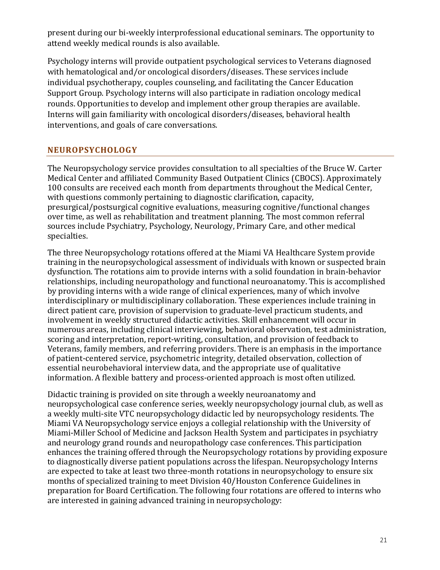present during our bi-weekly interprofessional educational seminars. The opportunity to attend weekly medical rounds is also available.

Psychology interns will provide outpatient psychological services to Veterans diagnosed with hematological and/or oncological disorders/diseases. These services include individual psychotherapy, couples counseling, and facilitating the Cancer Education Support Group. Psychology interns will also participate in radiation oncology medical rounds. Opportunities to develop and implement other group therapies are available. Interns will gain familiarity with oncological disorders/diseases, behavioral health interventions, and goals of care conversations.

### **NEUROPSYCHOLOGY**

The Neuropsychology service provides consultation to all specialties of the Bruce W. Carter Medical Center and affiliated Community Based Outpatient Clinics (CBOCS). Approximately 100 consults are received each month from departments throughout the Medical Center, with questions commonly pertaining to diagnostic clarification, capacity, presurgical/postsurgical cognitive evaluations, measuring cognitive/functional changes over time, as well as rehabilitation and treatment planning. The most common referral sources include Psychiatry, Psychology, Neurology, Primary Care, and other medical specialties.

The three Neuropsychology rotations offered at the Miami VA Healthcare System provide training in the neuropsychological assessment of individuals with known or suspected brain dysfunction. The rotations aim to provide interns with a solid foundation in brain-behavior relationships, including neuropathology and functional neuroanatomy. This is accomplished by providing interns with a wide range of clinical experiences, many of which involve interdisciplinary or multidisciplinary collaboration. These experiences include training in direct patient care, provision of supervision to graduate-level practicum students, and involvement in weekly structured didactic activities. Skill enhancement will occur in numerous areas, including clinical interviewing, behavioral observation, test administration, scoring and interpretation, report-writing, consultation, and provision of feedback to Veterans, family members, and referring providers. There is an emphasis in the importance of patient-centered service, psychometric integrity, detailed observation, collection of essential neurobehavioral interview data, and the appropriate use of qualitative information. A flexible battery and process-oriented approach is most often utilized.

Didactic training is provided on site through a weekly neuroanatomy and neuropsychological case conference series, weekly neuropsychology journal club, as well as a weekly multi-site VTC neuropsychology didactic led by neuropsychology residents. The Miami VA Neuropsychology service enjoys a collegial relationship with the University of Miami-Miller School of Medicine and Jackson Health System and participates in psychiatry and neurology grand rounds and neuropathology case conferences. This participation enhances the training offered through the Neuropsychology rotations by providing exposure to diagnostically diverse patient populations across the lifespan. Neuropsychology Interns are expected to take at least two three-month rotations in neuropsychology to ensure six months of specialized training to meet Division 40/Houston Conference Guidelines in preparation for Board Certification. The following four rotations are offered to interns who are interested in gaining advanced training in neuropsychology: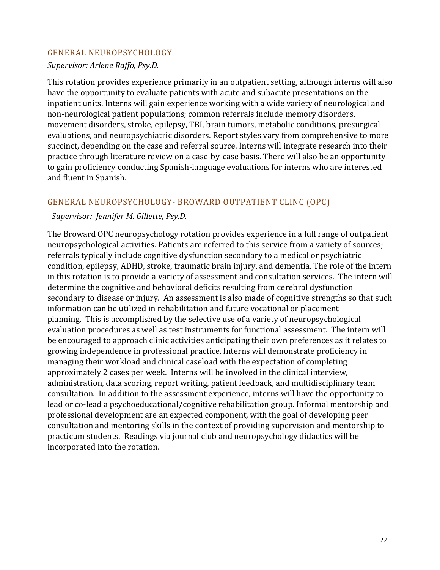#### GENERAL NEUROPSYCHOLOGY

*Supervisor: Arlene Raffo, Psy.D.*

This rotation provides experience primarily in an outpatient setting, although interns will also have the opportunity to evaluate patients with acute and subacute presentations on the inpatient units. Interns will gain experience working with a wide variety of neurological and non-neurological patient populations; common referrals include memory disorders, movement disorders, stroke, epilepsy, TBI, brain tumors, metabolic conditions, presurgical evaluations, and neuropsychiatric disorders. Report styles vary from comprehensive to more succinct, depending on the case and referral source. Interns will integrate research into their practice through literature review on a case-by-case basis. There will also be an opportunity to gain proficiency conducting Spanish-language evaluations for interns who are interested and fluent in Spanish.

### GENERAL NEUROPSYCHOLOGY- BROWARD OUTPATIENT CLINC (OPC)

#### *Supervisor: Jennifer M. Gillette, Psy.D.*

The Broward OPC neuropsychology rotation provides experience in a full range of outpatient neuropsychological activities. Patients are referred to this service from a variety of sources; referrals typically include cognitive dysfunction secondary to a medical or psychiatric condition, epilepsy, ADHD, stroke, traumatic brain injury, and dementia. The role of the intern in this rotation is to provide a variety of assessment and consultation services. The intern will determine the cognitive and behavioral deficits resulting from cerebral dysfunction secondary to disease or injury. An assessment is also made of cognitive strengths so that such information can be utilized in rehabilitation and future vocational or placement planning. This is accomplished by the selective use of a variety of neuropsychological evaluation procedures as well as test instruments for functional assessment. The intern will be encouraged to approach clinic activities anticipating their own preferences as it relates to growing independence in professional practice. Interns will demonstrate proficiency in managing their workload and clinical caseload with the expectation of completing approximately 2 cases per week. Interns will be involved in the clinical interview, administration, data scoring, report writing, patient feedback, and multidisciplinary team consultation. In addition to the assessment experience, interns will have the opportunity to lead or co-lead a psychoeducational/cognitive rehabilitation group. Informal mentorship and professional development are an expected component, with the goal of developing peer consultation and mentoring skills in the context of providing supervision and mentorship to practicum students. Readings via journal club and neuropsychology didactics will be incorporated into the rotation.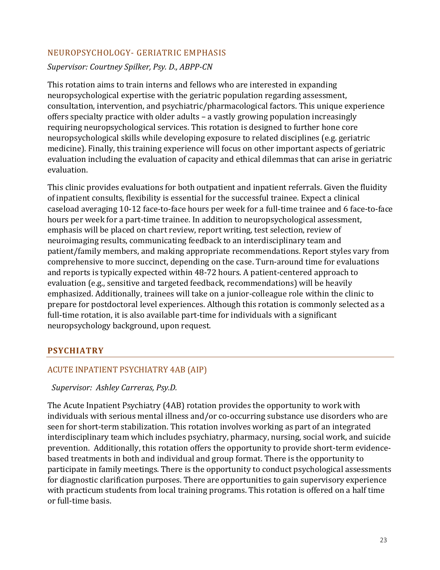### NEUROPSYCHOLOGY- GERIATRIC EMPHASIS

*Supervisor: Courtney Spilker, Psy. D., ABPP-CN*

This rotation aims to train interns and fellows who are interested in expanding neuropsychological expertise with the geriatric population regarding assessment, consultation, intervention, and psychiatric/pharmacological factors. This unique experience offers specialty practice with older adults – a vastly growing population increasingly requiring neuropsychological services. This rotation is designed to further hone core neuropsychological skills while developing exposure to related disciplines (e.g. geriatric medicine). Finally, this training experience will focus on other important aspects of geriatric evaluation including the evaluation of capacity and ethical dilemmas that can arise in geriatric evaluation.

This clinic provides evaluations for both outpatient and inpatient referrals. Given the fluidity of inpatient consults, flexibility is essential for the successful trainee. Expect a clinical caseload averaging 10-12 face-to-face hours per week for a full-time trainee and 6 face-to-face hours per week for a part-time trainee. In addition to neuropsychological assessment, emphasis will be placed on chart review, report writing, test selection, review of neuroimaging results, communicating feedback to an interdisciplinary team and patient/family members, and making appropriate recommendations. Report styles vary from comprehensive to more succinct, depending on the case. Turn-around time for evaluations and reports is typically expected within 48-72 hours. A patient-centered approach to evaluation (e.g., sensitive and targeted feedback, recommendations) will be heavily emphasized. Additionally, trainees will take on a junior-colleague role within the clinic to prepare for postdoctoral level experiences. Although this rotation is commonly selected as a full-time rotation, it is also available part-time for individuals with a significant neuropsychology background, upon request.

### **PSYCHIATRY**

### ACUTE INPATIENT PSYCHIATRY 4AB (AIP)

### *Supervisor: Ashley Carreras, Psy.D.*

The Acute Inpatient Psychiatry (4AB) rotation provides the opportunity to work with individuals with serious mental illness and/or co-occurring substance use disorders who are seen for short-term stabilization. This rotation involves working as part of an integrated interdisciplinary team which includes psychiatry, pharmacy, nursing, social work, and suicide prevention. Additionally, this rotation offers the opportunity to provide short-term evidencebased treatments in both and individual and group format. There is the opportunity to participate in family meetings. There is the opportunity to conduct psychological assessments for diagnostic clarification purposes. There are opportunities to gain supervisory experience with practicum students from local training programs. This rotation is offered on a half time or full-time basis.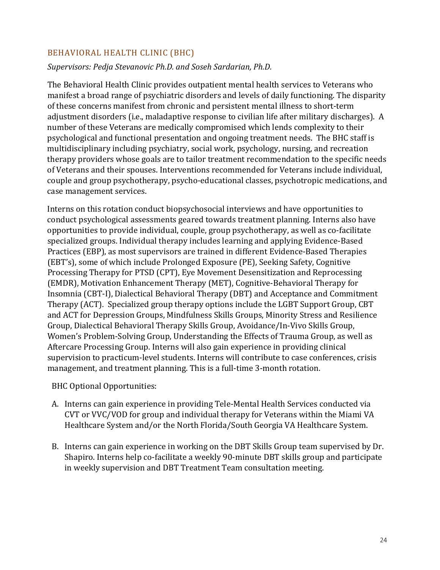### BEHAVIORAL HEALTH CLINIC (BHC)

### *Supervisors: Pedja Stevanovic Ph.D. and Soseh Sardarian, Ph.D.*

The Behavioral Health Clinic provides outpatient mental health services to Veterans who manifest a broad range of psychiatric disorders and levels of daily functioning. The disparity of these concerns manifest from chronic and persistent mental illness to short-term adjustment disorders (i.e., maladaptive response to civilian life after military discharges). A number of these Veterans are medically compromised which lends complexity to their psychological and functional presentation and ongoing treatment needs. The BHC staff is multidisciplinary including psychiatry, social work, psychology, nursing, and recreation therapy providers whose goals are to tailor treatment recommendation to the specific needs of Veterans and their spouses. Interventions recommended for Veterans include individual, couple and group psychotherapy, psycho-educational classes, psychotropic medications, and case management services.

Interns on this rotation conduct biopsychosocial interviews and have opportunities to conduct psychological assessments geared towards treatment planning. Interns also have opportunities to provide individual, couple, group psychotherapy, as well as co-facilitate specialized groups. Individual therapy includes learning and applying Evidence-Based Practices (EBP), as most supervisors are trained in different Evidence-Based Therapies (EBT's), some of which include Prolonged Exposure (PE), Seeking Safety, Cognitive Processing Therapy for PTSD (CPT), Eye Movement Desensitization and Reprocessing (EMDR), Motivation Enhancement Therapy (MET), Cognitive-Behavioral Therapy for Insomnia (CBT-I), Dialectical Behavioral Therapy (DBT) and Acceptance and Commitment Therapy (ACT). Specialized group therapy options include the LGBT Support Group, CBT and ACT for Depression Groups, Mindfulness Skills Groups, Minority Stress and Resilience Group, Dialectical Behavioral Therapy Skills Group, Avoidance/In-Vivo Skills Group, Women's Problem-Solving Group, Understanding the Effects of Trauma Group, as well as Aftercare Processing Group. Interns will also gain experience in providing clinical supervision to practicum-level students. Interns will contribute to case conferences, crisis management, and treatment planning. This is a full-time 3-month rotation.

BHC Optional Opportunities:

- A. Interns can gain experience in providing Tele-Mental Health Services conducted via CVT or VVC/VOD for group and individual therapy for Veterans within the Miami VA Healthcare System and/or the North Florida/South Georgia VA Healthcare System.
- B. Interns can gain experience in working on the DBT Skills Group team supervised by Dr. Shapiro. Interns help co-facilitate a weekly 90-minute DBT skills group and participate in weekly supervision and DBT Treatment Team consultation meeting.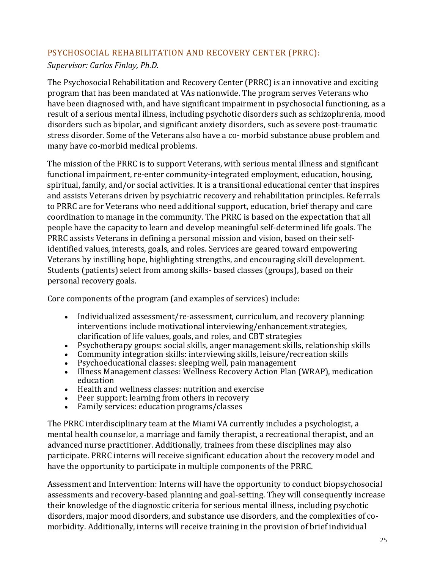# PSYCHOSOCIAL REHABILITATION AND RECOVERY CENTER (PRRC):

*Supervisor: Carlos Finlay, Ph.D.* 

The Psychosocial Rehabilitation and Recovery Center (PRRC) is an innovative and exciting program that has been mandated at VAs nationwide. The program serves Veterans who have been diagnosed with, and have significant impairment in psychosocial functioning, as a result of a serious mental illness, including psychotic disorders such as schizophrenia, mood disorders such as bipolar, and significant anxiety disorders, such as severe post-traumatic stress disorder. Some of the Veterans also have a co- morbid substance abuse problem and many have co-morbid medical problems.

The mission of the PRRC is to support Veterans, with serious mental illness and significant functional impairment, re-enter community-integrated employment, education, housing, spiritual, family, and/or social activities. It is a transitional educational center that inspires and assists Veterans driven by psychiatric recovery and rehabilitation principles. Referrals to PRRC are for Veterans who need additional support, education, brief therapy and care coordination to manage in the community. The PRRC is based on the expectation that all people have the capacity to learn and develop meaningful self-determined life goals. The PRRC assists Veterans in defining a personal mission and vision, based on their selfidentified values, interests, goals, and roles. Services are geared toward empowering Veterans by instilling hope, highlighting strengths, and encouraging skill development. Students (patients) select from among skills- based classes (groups), based on their personal recovery goals.

Core components of the program (and examples of services) include:

- Individualized assessment/re-assessment, curriculum, and recovery planning: interventions include motivational interviewing/enhancement strategies, clarification of life values, goals, and roles, and CBT strategies
- Psychotherapy groups: social skills, anger management skills, relationship skills
- Community integration skills: interviewing skills, leisure/recreation skills
- Psychoeducational classes: sleeping well, pain management
- Illness Management classes: Wellness Recovery Action Plan (WRAP), medication education
- Health and wellness classes: nutrition and exercise
- Peer support: learning from others in recovery
- Family services: education programs/classes

The PRRC interdisciplinary team at the Miami VA currently includes a psychologist, a mental health counselor, a marriage and family therapist, a recreational therapist, and an advanced nurse practitioner. Additionally, trainees from these disciplines may also participate. PRRC interns will receive significant education about the recovery model and have the opportunity to participate in multiple components of the PRRC.

Assessment and Intervention: Interns will have the opportunity to conduct biopsychosocial assessments and recovery-based planning and goal-setting. They will consequently increase their knowledge of the diagnostic criteria for serious mental illness, including psychotic disorders, major mood disorders, and substance use disorders, and the complexities of comorbidity. Additionally, interns will receive training in the provision of brief individual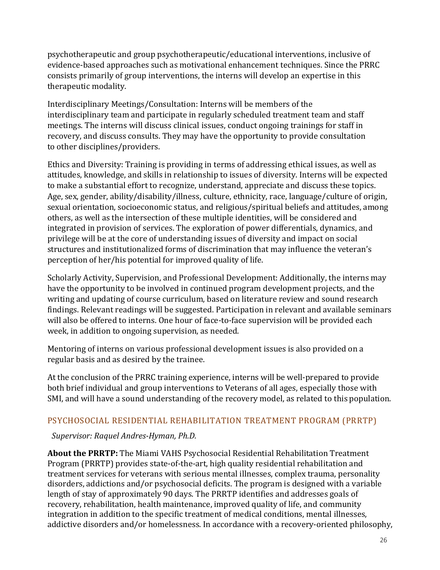psychotherapeutic and group psychotherapeutic/educational interventions, inclusive of evidence-based approaches such as motivational enhancement techniques. Since the PRRC consists primarily of group interventions, the interns will develop an expertise in this therapeutic modality.

Interdisciplinary Meetings/Consultation: Interns will be members of the interdisciplinary team and participate in regularly scheduled treatment team and staff meetings. The interns will discuss clinical issues, conduct ongoing trainings for staff in recovery, and discuss consults. They may have the opportunity to provide consultation to other disciplines/providers.

Ethics and Diversity: Training is providing in terms of addressing ethical issues, as well as attitudes, knowledge, and skills in relationship to issues of diversity. Interns will be expected to make a substantial effort to recognize, understand, appreciate and discuss these topics. Age, sex, gender, ability/disability/illness, culture, ethnicity, race, language/culture of origin, sexual orientation, socioeconomic status, and religious/spiritual beliefs and attitudes, among others, as well as the intersection of these multiple identities, will be considered and integrated in provision of services. The exploration of power differentials, dynamics, and privilege will be at the core of understanding issues of diversity and impact on social structures and institutionalized forms of discrimination that may influence the veteran's perception of her/his potential for improved quality of life.

Scholarly Activity, Supervision, and Professional Development: Additionally, the interns may have the opportunity to be involved in continued program development projects, and the writing and updating of course curriculum, based on literature review and sound research findings. Relevant readings will be suggested. Participation in relevant and available seminars will also be offered to interns. One hour of face-to-face supervision will be provided each week, in addition to ongoing supervision, as needed.

Mentoring of interns on various professional development issues is also provided on a regular basis and as desired by the trainee.

At the conclusion of the PRRC training experience, interns will be well-prepared to provide both brief individual and group interventions to Veterans of all ages, especially those with SMI, and will have a sound understanding of the recovery model, as related to this population.

### PSYCHOSOCIAL RESIDENTIAL REHABILITATION TREATMENT PROGRAM (PRRTP)

### *Supervisor: Raquel Andres-Hyman, Ph.D.*

**About the PRRTP:** The Miami VAHS Psychosocial Residential Rehabilitation Treatment Program (PRRTP) provides state-of-the-art, high quality residential rehabilitation and treatment services for veterans with serious mental illnesses, complex trauma, personality disorders, addictions and/or psychosocial deficits. The program is designed with a variable length of stay of approximately 90 days. The PRRTP identifies and addresses goals of recovery, rehabilitation, health maintenance, improved quality of life, and community integration in addition to the specific treatment of medical conditions, mental illnesses, addictive disorders and/or homelessness. In accordance with a recovery-oriented philosophy,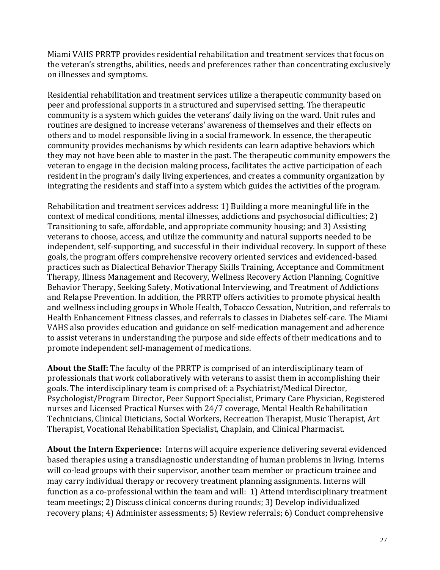Miami VAHS PRRTP provides residential rehabilitation and treatment services that focus on the veteran's strengths, abilities, needs and preferences rather than concentrating exclusively on illnesses and symptoms.

Residential rehabilitation and treatment services utilize a therapeutic community based on peer and professional supports in a structured and supervised setting. The therapeutic community is a system which guides the veterans' daily living on the ward. Unit rules and routines are designed to increase veterans' awareness of themselves and their effects on others and to model responsible living in a social framework. In essence, the therapeutic community provides mechanisms by which residents can learn adaptive behaviors which they may not have been able to master in the past. The therapeutic community empowers the veteran to engage in the decision making process, facilitates the active participation of each resident in the program's daily living experiences, and creates a community organization by integrating the residents and staff into a system which guides the activities of the program.

Rehabilitation and treatment services address: 1) Building a more meaningful life in the context of medical conditions, mental illnesses, addictions and psychosocial difficulties; 2) Transitioning to safe, affordable, and appropriate community housing; and 3) Assisting veterans to choose, access, and utilize the community and natural supports needed to be independent, self-supporting, and successful in their individual recovery. In support of these goals, the program offers comprehensive recovery oriented services and evidenced-based practices such as Dialectical Behavior Therapy Skills Training, Acceptance and Commitment Therapy, Illness Management and Recovery, Wellness Recovery Action Planning, Cognitive Behavior Therapy, Seeking Safety, Motivational Interviewing, and Treatment of Addictions and Relapse Prevention. In addition, the PRRTP offers activities to promote physical health and wellness including groups in Whole Health, Tobacco Cessation, Nutrition, and referrals to Health Enhancement Fitness classes, and referrals to classes in Diabetes self-care. The Miami VAHS also provides education and guidance on self-medication management and adherence to assist veterans in understanding the purpose and side effects of their medications and to promote independent self-management of medications.

**About the Staff:** The faculty of the PRRTP is comprised of an interdisciplinary team of professionals that work collaboratively with veterans to assist them in accomplishing their goals. The interdisciplinary team is comprised of: a Psychiatrist/Medical Director, Psychologist/Program Director, Peer Support Specialist, Primary Care Physician, Registered nurses and Licensed Practical Nurses with 24/7 coverage, Mental Health Rehabilitation Technicians, Clinical Dieticians, Social Workers, Recreation Therapist, Music Therapist, Art Therapist, Vocational Rehabilitation Specialist, Chaplain, and Clinical Pharmacist.

**About the Intern Experience:** Interns will acquire experience delivering several evidenced based therapies using a transdiagnostic understanding of human problems in living. Interns will co-lead groups with their supervisor, another team member or practicum trainee and may carry individual therapy or recovery treatment planning assignments. Interns will function as a co-professional within the team and will: 1) Attend interdisciplinary treatment team meetings; 2) Discuss clinical concerns during rounds; 3) Develop individualized recovery plans; 4) Administer assessments; 5) Review referrals; 6) Conduct comprehensive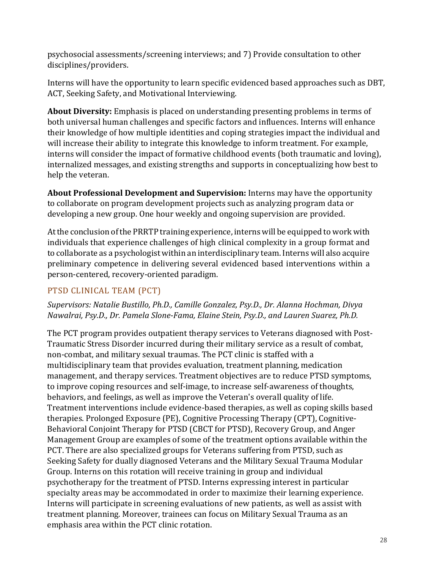psychosocial assessments/screening interviews; and 7) Provide consultation to other disciplines/providers.

Interns will have the opportunity to learn specific evidenced based approaches such as DBT, ACT, Seeking Safety, and Motivational Interviewing.

**About Diversity:** Emphasis is placed on understanding presenting problems in terms of both universal human challenges and specific factors and influences. Interns will enhance their knowledge of how multiple identities and coping strategies impact the individual and will increase their ability to integrate this knowledge to inform treatment. For example, interns will consider the impact of formative childhood events (both traumatic and loving), internalized messages, and existing strengths and supports in conceptualizing how best to help the veteran.

**About Professional Development and Supervision:** Interns may have the opportunity to collaborate on program development projects such as analyzing program data or developing a new group. One hour weekly and ongoing supervision are provided.

Atthe conclusion ofthe PRRTP training experience, interns will be equipped to work with individuals that experience challenges of high clinical complexity in a group format and to collaborate as a psychologist within an interdisciplinary team. Interns will also acquire preliminary competence in delivering several evidenced based interventions within a person-centered, recovery-oriented paradigm.

# PTSD CLINICAL TEAM (PCT)

### *Supervisors: Natalie Bustillo, Ph.D., Camille Gonzalez, Psy.D., Dr. Alanna Hochman, Divya Nawalrai, Psy.D., Dr. Pamela Slone-Fama, Elaine Stein, Psy.D., and Lauren Suarez, Ph.D.*

The PCT program provides outpatient therapy services to Veterans diagnosed with Post-Traumatic Stress Disorder incurred during their military service as a result of combat, non-combat, and military sexual traumas. The PCT clinic is staffed with a multidisciplinary team that provides evaluation, treatment planning, medication management, and therapy services. Treatment objectives are to reduce PTSD symptoms, to improve coping resources and self-image, to increase self-awareness of thoughts, behaviors, and feelings, as well as improve the Veteran's overall quality of life. Treatment interventions include evidence-based therapies, as well as coping skills based therapies. Prolonged Exposure (PE), Cognitive Processing Therapy (CPT), Cognitive-Behavioral Conjoint Therapy for PTSD (CBCT for PTSD), Recovery Group, and Anger Management Group are examples of some of the treatment options available within the PCT. There are also specialized groups for Veterans suffering from PTSD, such as Seeking Safety for dually diagnosed Veterans and the Military Sexual Trauma Modular Group. Interns on this rotation will receive training in group and individual psychotherapy for the treatment of PTSD. Interns expressing interest in particular specialty areas may be accommodated in order to maximize their learning experience. Interns will participate in screening evaluations of new patients, as well as assist with treatment planning. Moreover, trainees can focus on Military Sexual Trauma as an emphasis area within the PCT clinic rotation.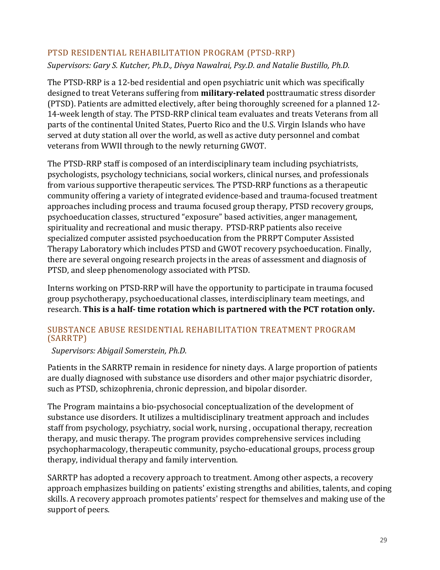### PTSD RESIDENTIAL REHABILITATION PROGRAM (PTSD-RRP)

*Supervisors: Gary S. Kutcher, Ph.D., Divya Nawalrai, Psy.D. and Natalie Bustillo, Ph.D.*

The PTSD-RRP is a 12-bed residential and open psychiatric unit which was specifically designed to treat Veterans suffering from **military-related** posttraumatic stress disorder (PTSD). Patients are admitted electively, after being thoroughly screened for a planned 12- 14-week length of stay. The PTSD-RRP clinical team evaluates and treats Veterans from all parts of the continental United States, Puerto Rico and the U.S. Virgin Islands who have served at duty station all over the world, as well as active duty personnel and combat veterans from WWII through to the newly returning GWOT.

The PTSD-RRP staff is composed of an interdisciplinary team including psychiatrists, psychologists, psychology technicians, social workers, clinical nurses, and professionals from various supportive therapeutic services. The PTSD-RRP functions as a therapeutic community offering a variety of integrated evidence-based and trauma-focused treatment approaches including process and trauma focused group therapy, PTSD recovery groups, psychoeducation classes, structured "exposure" based activities, anger management, spirituality and recreational and music therapy. PTSD-RRP patients also receive specialized computer assisted psychoeducation from the PRRPT Computer Assisted Therapy Laboratory which includes PTSD and GWOT recovery psychoeducation. Finally, there are several ongoing research projects in the areas of assessment and diagnosis of PTSD, and sleep phenomenology associated with PTSD.

Interns working on PTSD-RRP will have the opportunity to participate in trauma focused group psychotherapy, psychoeducational classes, interdisciplinary team meetings, and research. **This is a half- time rotation which is partnered with the PCT rotation only.**

### SUBSTANCE ABUSE RESIDENTIAL REHABILITATION TREATMENT PROGRAM (SARRTP)

### *Supervisors: Abigail Somerstein, Ph.D.*

Patients in the SARRTP remain in residence for ninety days. A large proportion of patients are dually diagnosed with substance use disorders and other major psychiatric disorder, such as PTSD, schizophrenia, chronic depression, and bipolar disorder.

The Program maintains a bio-psychosocial conceptualization of the development of substance use disorders. It utilizes a multidisciplinary treatment approach and includes staff from psychology, psychiatry, social work, nursing , occupational therapy, recreation therapy, and music therapy. The program provides comprehensive services including psychopharmacology, therapeutic community, psycho-educational groups, process group therapy, individual therapy and family intervention.

SARRTP has adopted a recovery approach to treatment. Among other aspects, a recovery approach emphasizes building on patients' existing strengths and abilities, talents, and coping skills. A recovery approach promotes patients' respect for themselves and making use of the support of peers.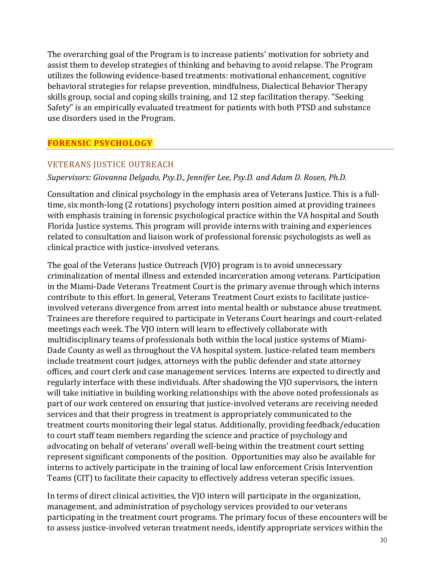The overarching goal of the Program is to increase patients' motivation for sobriety and assist them to develop strategies of thinking and behaving to avoid relapse. The Program utilizes the following evidence-based treatments: motivational enhancement, cognitive behavioral strategies for relapse prevention, mindfulness, Dialectical Behavior Therapy skills group, social and coping skills training, and 12 step facilitation therapy. "Seeking Safety" is an empirically evaluated treatment for patients with both PTSD and substance use disorders used in the Program.

### **FORENSIC PSYCHOLOGY**

### VETERANS JUSTICE OUTREACH

### *Supervisors: Giovanna Delgado, Psy.D., Jennifer Lee, Psy.D. and Adam D. Rosen, Ph.D.*

Consultation and clinical psychology in the emphasis area of Veterans Justice. This is a fulltime, six month-long (2 rotations) psychology intern position aimed at providing trainees with emphasis training in forensic psychological practice within the VA hospital and South Florida Justice systems. This program will provide interns with training and experiences related to consultation and liaison work of professional forensic psychologists as well as clinical practice with justice-involved veterans.

The goal of the Veterans Justice Outreach (VJO) program is to avoid unnecessary criminalization of mental illness and extended incarceration among veterans. Participation in the Miami-Dade Veterans Treatment Court is the primary avenue through which interns contribute to this effort. In general, Veterans Treatment Court exists to facilitate justiceinvolved veterans divergence from arrest into mental health or substance abuse treatment. Trainees are therefore required to participate in Veterans Court hearings and court-related meetings each week. The VJO intern will learn to effectively collaborate with multidisciplinary teams of professionals both within the local justice systems of Miami-Dade County as well as throughout the VA hospital system. Justice-related team members include treatment court judges, attorneys with the public defender and state attorney offices, and court clerk and case management services. Interns are expected to directly and regularly interface with these individuals. After shadowing the VJO supervisors, the intern will take initiative in building working relationships with the above noted professionals as part of our work centered on ensuring that justice-involved veterans are receiving needed services and that their progress in treatment is appropriately communicated to the treatment courts monitoring their legal status. Additionally, providing feedback/education to court staff team members regarding the science and practice of psychology and advocating on behalf of veterans' overall well-being within the treatment court setting represent significant components of the position. Opportunities may also be available for interns to actively participate in the training of local law enforcement Crisis Intervention Teams (CIT) to facilitate their capacity to effectively address veteran specific issues.

In terms of direct clinical activities, the VJO intern will participate in the organization, management, and administration of psychology services provided to our veterans participating in the treatment court programs. The primary focus of these encounters will be to assess justice-involved veteran treatment needs, identify appropriate services within the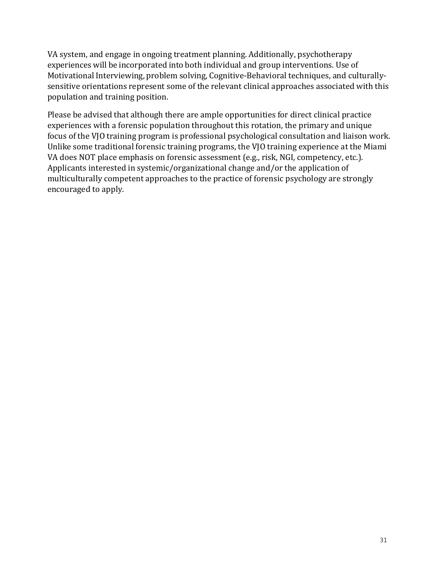VA system, and engage in ongoing treatment planning. Additionally, psychotherapy experiences will be incorporated into both individual and group interventions. Use of Motivational Interviewing, problem solving, Cognitive-Behavioral techniques, and culturallysensitive orientations represent some of the relevant clinical approaches associated with this population and training position.

Please be advised that although there are ample opportunities for direct clinical practice experiences with a forensic population throughout this rotation, the primary and unique focus of the VJO training program is professional psychological consultation and liaison work. Unlike some traditional forensic training programs, the VJO training experience at the Miami VA does NOT place emphasis on forensic assessment (e.g., risk, NGI, competency, etc.). Applicants interested in systemic/organizational change and/or the application of multiculturally competent approaches to the practice of forensic psychology are strongly encouraged to apply.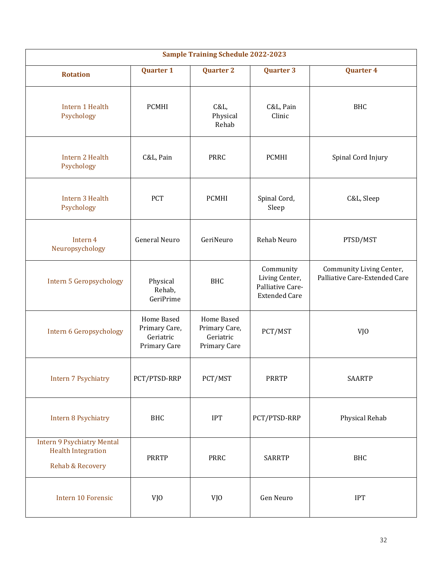| <b>Sample Training Schedule 2022-2023</b>                                          |                                                          |                                                          |                                                                         |                                                           |  |
|------------------------------------------------------------------------------------|----------------------------------------------------------|----------------------------------------------------------|-------------------------------------------------------------------------|-----------------------------------------------------------|--|
| <b>Rotation</b>                                                                    | <b>Quarter 1</b>                                         | <b>Quarter 2</b>                                         | <b>Quarter 3</b>                                                        | <b>Quarter 4</b>                                          |  |
| Intern 1 Health<br>Psychology                                                      | <b>PCMHI</b>                                             | C&L,<br>Physical<br>Rehab                                | C&L, Pain<br>Clinic                                                     | <b>BHC</b>                                                |  |
| Intern 2 Health<br>Psychology                                                      | C&L, Pain                                                | <b>PRRC</b>                                              | <b>PCMHI</b>                                                            | Spinal Cord Injury                                        |  |
| Intern 3 Health<br>Psychology                                                      | <b>PCT</b>                                               | <b>PCMHI</b>                                             | Spinal Cord,<br>Sleep                                                   | C&L, Sleep                                                |  |
| Intern 4<br>Neuropsychology                                                        | <b>General Neuro</b>                                     | GeriNeuro                                                | Rehab Neuro                                                             | PTSD/MST                                                  |  |
| Intern 5 Geropsychology                                                            | Physical<br>Rehab,<br>GeriPrime                          | <b>BHC</b>                                               | Community<br>Living Center,<br>Palliative Care-<br><b>Extended Care</b> | Community Living Center,<br>Palliative Care-Extended Care |  |
| Intern 6 Geropsychology                                                            | Home Based<br>Primary Care,<br>Geriatric<br>Primary Care | Home Based<br>Primary Care,<br>Geriatric<br>Primary Care | PCT/MST                                                                 | VJ <sub>0</sub>                                           |  |
| <b>Intern 7 Psychiatry</b>                                                         | PCT/PTSD-RRP                                             | PCT/MST                                                  | <b>PRRTP</b>                                                            | <b>SAARTP</b>                                             |  |
| <b>Intern 8 Psychiatry</b>                                                         | <b>BHC</b>                                               | <b>IPT</b>                                               | PCT/PTSD-RRP                                                            | Physical Rehab                                            |  |
| <b>Intern 9 Psychiatry Mental</b><br><b>Health Integration</b><br>Rehab & Recovery | <b>PRRTP</b>                                             | PRRC                                                     | <b>SARRTP</b>                                                           | <b>BHC</b>                                                |  |
| Intern 10 Forensic                                                                 | VJ <sub>0</sub>                                          | VJ <sub>0</sub>                                          | Gen Neuro                                                               | <b>IPT</b>                                                |  |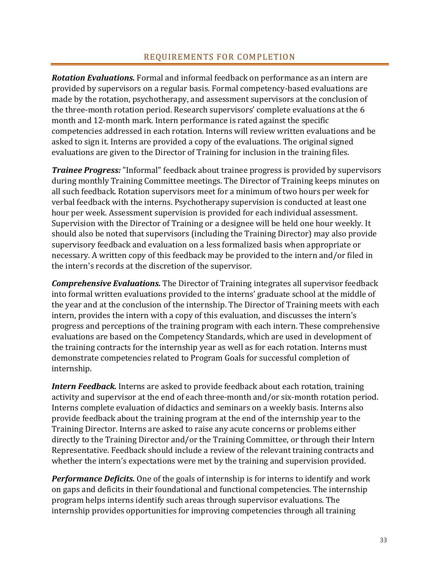### REQUIREMENTS FOR COMPLETION

*Rotation Evaluations.* Formal and informal feedback on performance as an intern are provided by supervisors on a regular basis. Formal competency-based evaluations are made by the rotation, psychotherapy, and assessment supervisors at the conclusion of the three-month rotation period. Research supervisors' complete evaluations at the 6 month and 12-month mark. Intern performance is rated against the specific competencies addressed in each rotation. Interns will review written evaluations and be asked to sign it. Interns are provided a copy of the evaluations. The original signed evaluations are given to the Director of Training for inclusion in the training files.

*Trainee Progress:* "Informal" feedback about trainee progress is provided by supervisors during monthly Training Committee meetings. The Director of Training keeps minutes on all such feedback. Rotation supervisors meet for a minimum of two hours per week for verbal feedback with the interns. Psychotherapy supervision is conducted at least one hour per week. Assessment supervision is provided for each individual assessment. Supervision with the Director of Training or a designee will be held one hour weekly. It should also be noted that supervisors (including the Training Director) may also provide supervisory feedback and evaluation on a less formalized basis when appropriate or necessary. A written copy of this feedback may be provided to the intern and/or filed in the intern's records at the discretion of the supervisor.

*Comprehensive Evaluations.* The Director of Training integrates all supervisor feedback into formal written evaluations provided to the interns' graduate school at the middle of the year and at the conclusion of the internship. The Director of Training meets with each intern, provides the intern with a copy of this evaluation, and discusses the intern's progress and perceptions of the training program with each intern. These comprehensive evaluations are based on the Competency Standards, which are used in development of the training contracts for the internship year as well as for each rotation. Interns must demonstrate competencies related to Program Goals for successful completion of internship.

**Intern Feedback.** Interns are asked to provide feedback about each rotation, training activity and supervisor at the end of each three-month and/or six-month rotation period. Interns complete evaluation of didactics and seminars on a weekly basis. Interns also provide feedback about the training program at the end of the internship year to the Training Director. Interns are asked to raise any acute concerns or problems either directly to the Training Director and/or the Training Committee, or through their Intern Representative. Feedback should include a review of the relevant training contracts and whether the intern's expectations were met by the training and supervision provided.

*Performance Deficits.* One of the goals of internship is for interns to identify and work on gaps and deficits in their foundational and functional competencies. The internship program helps interns identify such areas through supervisor evaluations. The internship provides opportunities for improving competencies through all training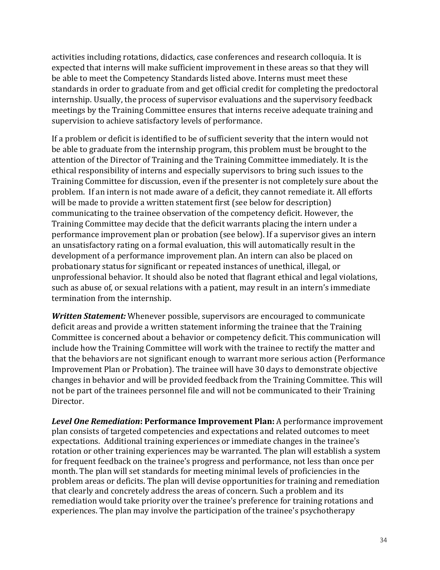activities including rotations, didactics, case conferences and research colloquia. It is expected that interns will make sufficient improvement in these areas so that they will be able to meet the Competency Standards listed above. Interns must meet these standards in order to graduate from and get official credit for completing the predoctoral internship. Usually, the process of supervisor evaluations and the supervisory feedback meetings by the Training Committee ensures that interns receive adequate training and supervision to achieve satisfactory levels of performance.

If a problem or deficit is identified to be of sufficient severity that the intern would not be able to graduate from the internship program, this problem must be brought to the attention of the Director of Training and the Training Committee immediately. It is the ethical responsibility of interns and especially supervisors to bring such issues to the Training Committee for discussion, even if the presenter is not completely sure about the problem. If an intern is not made aware of a deficit, they cannot remediate it. All efforts will be made to provide a written statement first (see below for description) communicating to the trainee observation of the competency deficit. However, the Training Committee may decide that the deficit warrants placing the intern under a performance improvement plan or probation (see below). If a supervisor gives an intern an unsatisfactory rating on a formal evaluation, this will automatically result in the development of a performance improvement plan. An intern can also be placed on probationary status for significant or repeated instances of unethical, illegal, or unprofessional behavior. It should also be noted that flagrant ethical and legal violations, such as abuse of, or sexual relations with a patient, may result in an intern's immediate termination from the internship.

*Written Statement:* Whenever possible, supervisors are encouraged to communicate deficit areas and provide a written statement informing the trainee that the Training Committee is concerned about a behavior or competency deficit. This communication will include how the Training Committee will work with the trainee to rectify the matter and that the behaviors are not significant enough to warrant more serious action (Performance Improvement Plan or Probation). The trainee will have 30 days to demonstrate objective changes in behavior and will be provided feedback from the Training Committee. This will not be part of the trainees personnel file and will not be communicated to their Training Director.

*Level One Remediation***: Performance Improvement Plan:** A performance improvement plan consists of targeted competencies and expectations and related outcomes to meet expectations. Additional training experiences or immediate changes in the trainee's rotation or other training experiences may be warranted. The plan will establish a system for frequent feedback on the trainee's progress and performance, not less than once per month. The plan will set standards for meeting minimal levels of proficiencies in the problem areas or deficits. The plan will devise opportunities for training and remediation that clearly and concretely address the areas of concern. Such a problem and its remediation would take priority over the trainee's preference for training rotations and experiences. The plan may involve the participation of the trainee's psychotherapy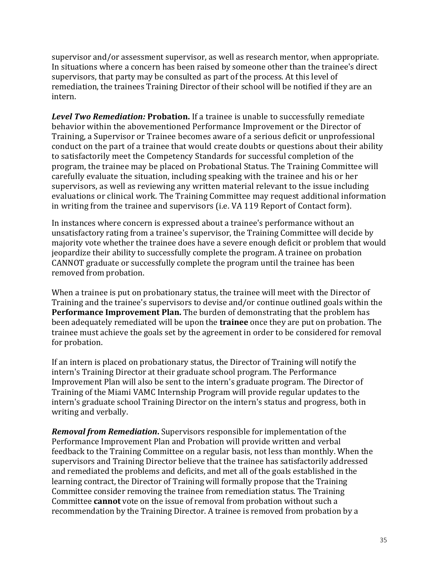supervisor and/or assessment supervisor, as well as research mentor, when appropriate. In situations where a concern has been raised by someone other than the trainee's direct supervisors, that party may be consulted as part of the process. At this level of remediation, the trainees Training Director of their school will be notified if they are an intern.

*Level Two Remediation:* **Probation.** If a trainee is unable to successfully remediate behavior within the abovementioned Performance Improvement or the Director of Training, a Supervisor or Trainee becomes aware of a serious deficit or unprofessional conduct on the part of a trainee that would create doubts or questions about their ability to satisfactorily meet the Competency Standards for successful completion of the program, the trainee may be placed on Probational Status. The Training Committee will carefully evaluate the situation, including speaking with the trainee and his or her supervisors, as well as reviewing any written material relevant to the issue including evaluations or clinical work. The Training Committee may request additional information in writing from the trainee and supervisors (i.e. VA 119 Report of Contact form).

In instances where concern is expressed about a trainee's performance without an unsatisfactory rating from a trainee's supervisor, the Training Committee will decide by majority vote whether the trainee does have a severe enough deficit or problem that would jeopardize their ability to successfully complete the program. A trainee on probation CANNOT graduate or successfully complete the program until the trainee has been removed from probation.

When a trainee is put on probationary status, the trainee will meet with the Director of Training and the trainee's supervisors to devise and/or continue outlined goals within the **Performance Improvement Plan.** The burden of demonstrating that the problem has been adequately remediated will be upon the **trainee** once they are put on probation. The trainee must achieve the goals set by the agreement in order to be considered for removal for probation.

If an intern is placed on probationary status, the Director of Training will notify the intern's Training Director at their graduate school program. The Performance Improvement Plan will also be sent to the intern's graduate program. The Director of Training of the Miami VAMC Internship Program will provide regular updates to the intern's graduate school Training Director on the intern's status and progress, both in writing and verbally.

*Removal from Remediation***.** Supervisors responsible for implementation of the Performance Improvement Plan and Probation will provide written and verbal feedback to the Training Committee on a regular basis, not less than monthly. When the supervisors and Training Director believe that the trainee has satisfactorily addressed and remediated the problems and deficits, and met all of the goals established in the learning contract, the Director of Training will formally propose that the Training Committee consider removing the trainee from remediation status. The Training Committee **cannot** vote on the issue of removal from probation without such a recommendation by the Training Director. A trainee is removed from probation by a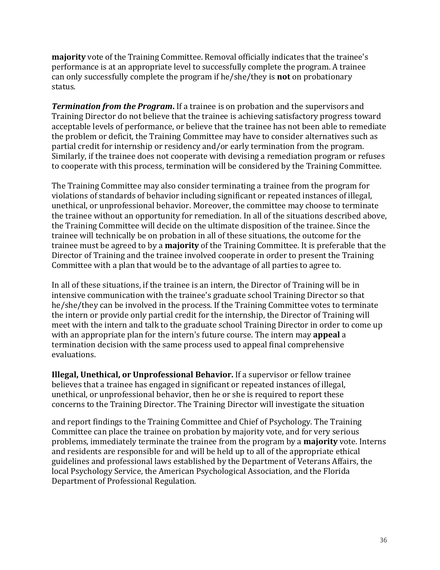**majority** vote of the Training Committee. Removal officially indicates that the trainee's performance is at an appropriate level to successfully complete the program. A trainee can only successfully complete the program if he/she/they is **not** on probationary status.

*Termination from the Program***.** If a trainee is on probation and the supervisors and Training Director do not believe that the trainee is achieving satisfactory progress toward acceptable levels of performance, or believe that the trainee has not been able to remediate the problem or deficit, the Training Committee may have to consider alternatives such as partial credit for internship or residency and/or early termination from the program. Similarly, if the trainee does not cooperate with devising a remediation program or refuses to cooperate with this process, termination will be considered by the Training Committee.

The Training Committee may also consider terminating a trainee from the program for violations of standards of behavior including significant or repeated instances of illegal, unethical, or unprofessional behavior. Moreover, the committee may choose to terminate the trainee without an opportunity for remediation. In all of the situations described above, the Training Committee will decide on the ultimate disposition of the trainee. Since the trainee will technically be on probation in all of these situations, the outcome for the trainee must be agreed to by a **majority** of the Training Committee. It is preferable that the Director of Training and the trainee involved cooperate in order to present the Training Committee with a plan that would be to the advantage of all parties to agree to.

In all of these situations, if the trainee is an intern, the Director of Training will be in intensive communication with the trainee's graduate school Training Director so that he/she/they can be involved in the process. If the Training Committee votes to terminate the intern or provide only partial credit for the internship, the Director of Training will meet with the intern and talk to the graduate school Training Director in order to come up with an appropriate plan for the intern's future course. The intern may **appeal** a termination decision with the same process used to appeal final comprehensive evaluations.

**Illegal, Unethical, or Unprofessional Behavior.** If a supervisor or fellow trainee believes that a trainee has engaged in significant or repeated instances of illegal, unethical, or unprofessional behavior, then he or she is required to report these concerns to the Training Director. The Training Director will investigate the situation

and report findings to the Training Committee and Chief of Psychology. The Training Committee can place the trainee on probation by majority vote, and for very serious problems, immediately terminate the trainee from the program by a **majority** vote. Interns and residents are responsible for and will be held up to all of the appropriate ethical guidelines and professional laws established by the Department of Veterans Affairs, the local Psychology Service, the American Psychological Association, and the Florida Department of Professional Regulation.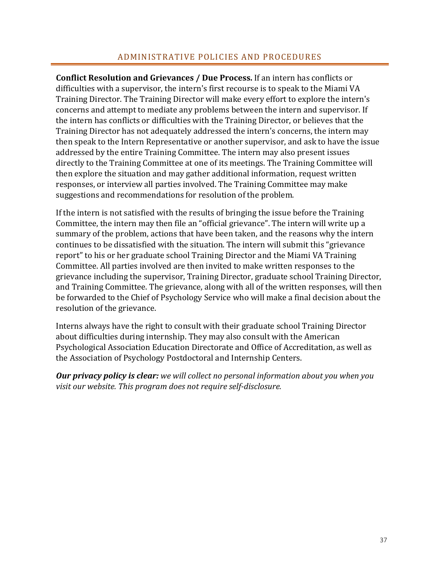#### ADMINISTRATIVE POLICIES AND PROCEDURES

**Conflict Resolution and Grievances / Due Process.** If an intern has conflicts or difficulties with a supervisor, the intern's first recourse is to speak to the Miami VA Training Director. The Training Director will make every effort to explore the intern's concerns and attempt to mediate any problems between the intern and supervisor. If the intern has conflicts or difficulties with the Training Director, or believes that the Training Director has not adequately addressed the intern's concerns, the intern may then speak to the Intern Representative or another supervisor, and ask to have the issue addressed by the entire Training Committee. The intern may also present issues directly to the Training Committee at one of its meetings. The Training Committee will then explore the situation and may gather additional information, request written responses, or interview all parties involved. The Training Committee may make suggestions and recommendations for resolution of the problem.

If the intern is not satisfied with the results of bringing the issue before the Training Committee, the intern may then file an "official grievance". The intern will write up a summary of the problem, actions that have been taken, and the reasons why the intern continues to be dissatisfied with the situation. The intern will submit this "grievance report" to his or her graduate school Training Director and the Miami VA Training Committee. All parties involved are then invited to make written responses to the grievance including the supervisor, Training Director, graduate school Training Director, and Training Committee. The grievance, along with all of the written responses, will then be forwarded to the Chief of Psychology Service who will make a final decision about the resolution of the grievance.

Interns always have the right to consult with their graduate school Training Director about difficulties during internship. They may also consult with the American Psychological Association Education Directorate and Office of Accreditation, as well as the Association of Psychology Postdoctoral and Internship Centers.

*Our privacy policy is clear: we will collect no personal information about you when you visit our website. This program does not require self-disclosure.*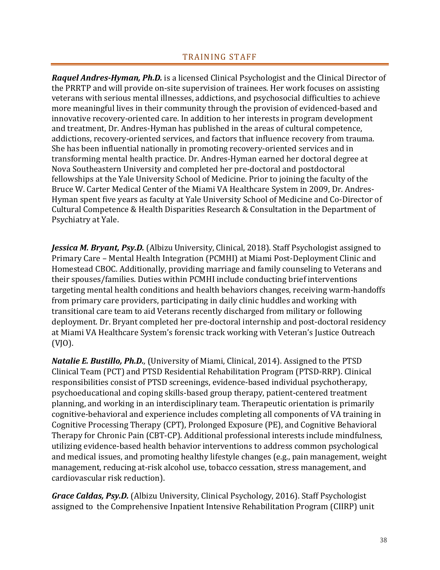*Raquel Andres-Hyman, Ph.D.* is a licensed Clinical Psychologist and the Clinical Director of the PRRTP and will provide on-site supervision of trainees. Her work focuses on assisting veterans with serious mental illnesses, addictions, and psychosocial difficulties to achieve more meaningful lives in their community through the provision of evidenced-based and innovative recovery-oriented care. In addition to her interests in program development and treatment, Dr. Andres-Hyman has published in the areas of cultural competence, addictions, recovery-oriented services, and factors that influence recovery from trauma. She has been influential nationally in promoting recovery-oriented services and in transforming mental health practice. Dr. Andres-Hyman earned her doctoral degree at Nova Southeastern University and completed her pre-doctoral and postdoctoral fellowships at the Yale University School of Medicine. Prior to joining the faculty of the Bruce W. Carter Medical Center of the Miami VA Healthcare System in 2009, Dr. Andres-Hyman spent five years as faculty at Yale University School of Medicine and Co-Director of Cultural Competence & Health Disparities Research & Consultation in the Department of Psychiatry at Yale.

Jessica M. Bryant, Psy.D. (Albizu University, Clinical, 2018). Staff Psychologist assigned to Primary Care – Mental Health Integration (PCMHI) at Miami Post-Deployment Clinic and Homestead CBOC. Additionally, providing marriage and family counseling to Veterans and their spouses/families. Duties within PCMHI include conducting brief interventions targeting mental health conditions and health behaviors changes, receiving warm-handoffs from primary care providers, participating in daily clinic huddles and working with transitional care team to aid Veterans recently discharged from military or following deployment. Dr. Bryant completed her pre-doctoral internship and post-doctoral residency at Miami VA Healthcare System's forensic track working with Veteran's Justice Outreach (VJO).

*Natalie E. Bustillo, Ph.D.,* (University of Miami, Clinical, 2014). Assigned to the PTSD Clinical Team (PCT) and PTSD Residential Rehabilitation Program (PTSD-RRP). Clinical responsibilities consist of PTSD screenings, evidence-based individual psychotherapy, psychoeducational and coping skills-based group therapy, patient-centered treatment planning, and working in an interdisciplinary team. Therapeutic orientation is primarily cognitive-behavioral and experience includes completing all components of VA training in Cognitive Processing Therapy (CPT), Prolonged Exposure (PE), and Cognitive Behavioral Therapy for Chronic Pain (CBT-CP). Additional professional interests include mindfulness, utilizing evidence-based health behavior interventions to address common psychological and medical issues, and promoting healthy lifestyle changes (e.g., pain management, weight management, reducing at-risk alcohol use, tobacco cessation, stress management, and cardiovascular risk reduction).

*Grace Caldas, Psy.D.* (Albizu University, Clinical Psychology, 2016). Staff Psychologist assigned to the Comprehensive Inpatient Intensive Rehabilitation Program (CIIRP) unit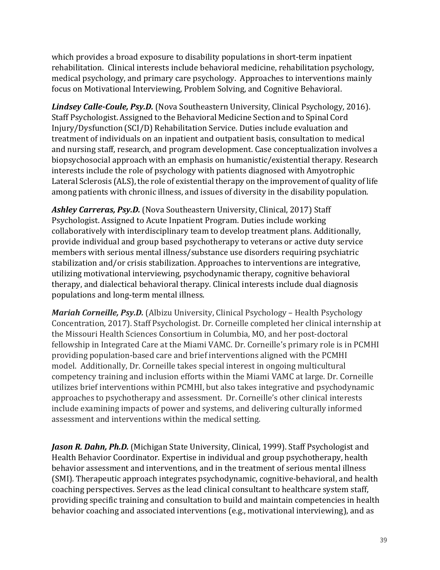which provides a broad exposure to disability populations in short-term inpatient rehabilitation. Clinical interests include behavioral medicine, rehabilitation psychology, medical psychology, and primary care psychology. Approaches to interventions mainly focus on Motivational Interviewing, Problem Solving, and Cognitive Behavioral.

*Lindsey Calle-Coule, Psy.D.* (Nova Southeastern University, Clinical Psychology, 2016). Staff Psychologist. Assigned to the Behavioral Medicine Section and to Spinal Cord Injury/Dysfunction (SCI/D) Rehabilitation Service. Duties include evaluation and treatment of individuals on an inpatient and outpatient basis, consultation to medical and nursing staff, research, and program development. Case conceptualization involves a biopsychosocial approach with an emphasis on humanistic/existential therapy. Research interests include the role of psychology with patients diagnosed with Amyotrophic Lateral Sclerosis (ALS), the role of existential therapy on the improvement of quality of life among patients with chronic illness, and issues of diversity in the disability population.

*Ashley Carreras, Psy.D.* (Nova Southeastern University, Clinical, 2017) Staff Psychologist. Assigned to Acute Inpatient Program. Duties include working collaboratively with interdisciplinary team to develop treatment plans. Additionally, provide individual and group based psychotherapy to veterans or active duty service members with serious mental illness/substance use disorders requiring psychiatric stabilization and/or crisis stabilization. Approaches to interventions are integrative, utilizing motivational interviewing, psychodynamic therapy, cognitive behavioral therapy, and dialectical behavioral therapy. Clinical interests include dual diagnosis populations and long-term mental illness.

*Mariah Corneille, Psy.D.* (Albizu University, Clinical Psychology – Health Psychology Concentration, 2017). Staff Psychologist. Dr. Corneille completed her clinical internship at the Missouri Health Sciences Consortium in Columbia, MO, and her post-doctoral fellowship in Integrated Care at the Miami VAMC. Dr. Corneille's primary role is in PCMHI providing population-based care and brief interventions aligned with the PCMHI model. Additionally, Dr. Corneille takes special interest in ongoing multicultural competency training and inclusion efforts within the Miami VAMC at large. Dr. Corneille utilizes brief interventions within PCMHI, but also takes integrative and psychodynamic approaches to psychotherapy and assessment. Dr. Corneille's other clinical interests include examining impacts of power and systems, and delivering culturally informed assessment and interventions within the medical setting.

**Jason R. Dahn, Ph.D.** (Michigan State University, Clinical, 1999). Staff Psychologist and Health Behavior Coordinator. Expertise in individual and group psychotherapy, health behavior assessment and interventions, and in the treatment of serious mental illness (SMI). Therapeutic approach integrates psychodynamic, cognitive-behavioral, and health coaching perspectives. Serves as the lead clinical consultant to healthcare system staff, providing specific training and consultation to build and maintain competencies in health behavior coaching and associated interventions (e.g., motivational interviewing), and as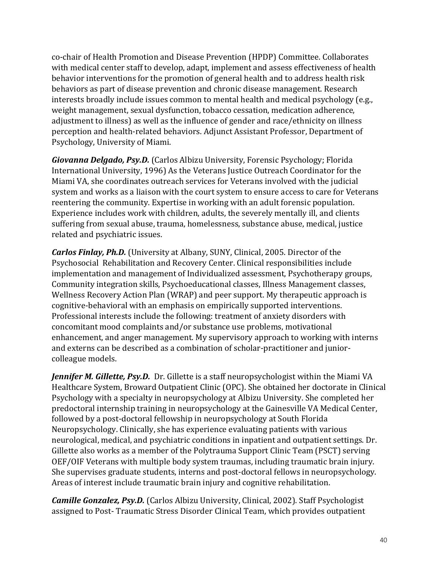co-chair of Health Promotion and Disease Prevention (HPDP) Committee. Collaborates with medical center staff to develop, adapt, implement and assess effectiveness of health behavior interventions for the promotion of general health and to address health risk behaviors as part of disease prevention and chronic disease management. Research interests broadly include issues common to mental health and medical psychology (e.g., weight management, sexual dysfunction, tobacco cessation, medication adherence, adjustment to illness) as well as the influence of gender and race/ethnicity on illness perception and health-related behaviors. Adjunct Assistant Professor, Department of Psychology, University of Miami.

*Giovanna Delgado, Psy.D.* (Carlos Albizu University, Forensic Psychology; Florida International University, 1996) As the Veterans Justice Outreach Coordinator for the Miami VA, she coordinates outreach services for Veterans involved with the judicial system and works as a liaison with the court system to ensure access to care for Veterans reentering the community. Expertise in working with an adult forensic population. Experience includes work with children, adults, the severely mentally ill, and clients suffering from sexual abuse, trauma, homelessness, substance abuse, medical, justice related and psychiatric issues.

*Carlos Finlay, Ph.D.* (University at Albany, SUNY, Clinical, 2005. Director of the Psychosocial Rehabilitation and Recovery Center. Clinical responsibilities include implementation and management of Individualized assessment, Psychotherapy groups, Community integration skills, Psychoeducational classes, Illness Management classes, Wellness Recovery Action Plan (WRAP) and peer support. My therapeutic approach is cognitive-behavioral with an emphasis on empirically supported interventions. Professional interests include the following: treatment of anxiety disorders with concomitant mood complaints and/or substance use problems, motivational enhancement, and anger management. My supervisory approach to working with interns and externs can be described as a combination of scholar-practitioner and juniorcolleague models.

*Jennifer M. Gillette, Psy.D.* Dr. Gillette is a staff neuropsychologist within the Miami VA Healthcare System, Broward Outpatient Clinic (OPC). She obtained her doctorate in Clinical Psychology with a specialty in neuropsychology at Albizu University. She completed her predoctoral internship training in neuropsychology at the Gainesville VA Medical Center, followed by a post-doctoral fellowship in neuropsychology at South Florida Neuropsychology. Clinically, she has experience evaluating patients with various neurological, medical, and psychiatric conditions in inpatient and outpatient settings. Dr. Gillette also works as a member of the Polytrauma Support Clinic Team (PSCT) serving OEF/OIF Veterans with multiple body system traumas, including traumatic brain injury. She supervises graduate students, interns and post-doctoral fellows in neuropsychology. Areas of interest include traumatic brain injury and cognitive rehabilitation.

*Camille Gonzalez, Psy.D.* (Carlos Albizu University, Clinical, 2002). Staff Psychologist assigned to Post- Traumatic Stress Disorder Clinical Team, which provides outpatient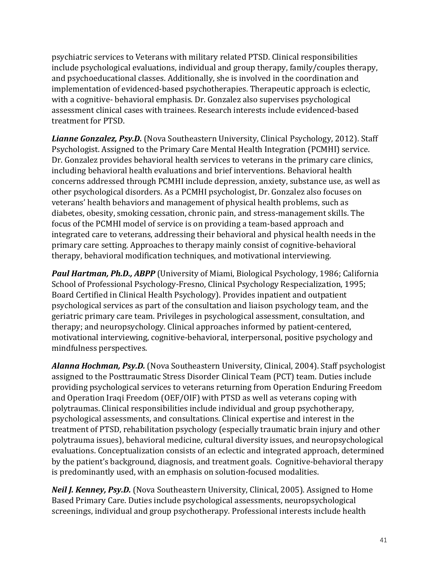psychiatric services to Veterans with military related PTSD. Clinical responsibilities include psychological evaluations, individual and group therapy, family/couples therapy, and psychoeducational classes. Additionally, she is involved in the coordination and implementation of evidenced-based psychotherapies. Therapeutic approach is eclectic, with a cognitive- behavioral emphasis. Dr. Gonzalez also supervises psychological assessment clinical cases with trainees. Research interests include evidenced-based treatment for PTSD.

*Lianne Gonzalez, Psy.D.* (Nova Southeastern University, Clinical Psychology, 2012). Staff Psychologist. Assigned to the Primary Care Mental Health Integration (PCMHI) service. Dr. Gonzalez provides behavioral health services to veterans in the primary care clinics, including behavioral health evaluations and brief interventions. Behavioral health concerns addressed through PCMHI include depression, anxiety, substance use, as well as other psychological disorders. As a PCMHI psychologist, Dr. Gonzalez also focuses on veterans' health behaviors and management of physical health problems, such as diabetes, obesity, smoking cessation, chronic pain, and stress-management skills. The focus of the PCMHI model of service is on providing a team-based approach and integrated care to veterans, addressing their behavioral and physical health needs in the primary care setting. Approaches to therapy mainly consist of cognitive-behavioral therapy, behavioral modification techniques, and motivational interviewing.

*Paul Hartman, Ph.D., ABPP* (University of Miami, Biological Psychology, 1986; California School of Professional Psychology-Fresno, Clinical Psychology Respecialization, 1995; Board Certified in Clinical Health Psychology). Provides inpatient and outpatient psychological services as part of the consultation and liaison psychology team, and the geriatric primary care team. Privileges in psychological assessment, consultation, and therapy; and neuropsychology. Clinical approaches informed by patient-centered, motivational interviewing, cognitive-behavioral, interpersonal, positive psychology and mindfulness perspectives.

*Alanna Hochman, Psy.D.* (Nova Southeastern University, Clinical, 2004). Staff psychologist assigned to the Posttraumatic Stress Disorder Clinical Team (PCT) team. Duties include providing psychological services to veterans returning from Operation Enduring Freedom and Operation Iraqi Freedom (OEF/OIF) with PTSD as well as veterans coping with polytraumas. Clinical responsibilities include individual and group psychotherapy, psychological assessments, and consultations. Clinical expertise and interest in the treatment of PTSD, rehabilitation psychology (especially traumatic brain injury and other polytrauma issues), behavioral medicine, cultural diversity issues, and neuropsychological evaluations. Conceptualization consists of an eclectic and integrated approach, determined by the patient's background, diagnosis, and treatment goals. Cognitive-behavioral therapy is predominantly used, with an emphasis on solution-focused modalities.

*Neil J. Kenney, Psy.D.* (Nova Southeastern University, Clinical, 2005). Assigned to Home Based Primary Care. Duties include psychological assessments, neuropsychological screenings, individual and group psychotherapy. Professional interests include health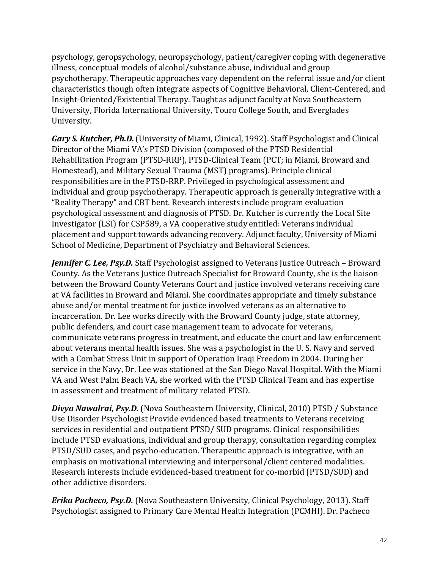psychology, geropsychology, neuropsychology, patient/caregiver coping with degenerative illness, conceptual models of alcohol/substance abuse, individual and group psychotherapy. Therapeutic approaches vary dependent on the referral issue and/or client characteristics though often integrate aspects of Cognitive Behavioral, Client-Centered, and Insight-Oriented/Existential Therapy. Taught as adjunct faculty at Nova Southeastern University, Florida International University, Touro College South, and Everglades University.

*Gary S. Kutcher, Ph.D.*(University of Miami, Clinical, 1992). Staff Psychologist and Clinical Director of the Miami VA's PTSD Division (composed of the PTSD Residential Rehabilitation Program (PTSD-RRP), PTSD-Clinical Team (PCT; in Miami, Broward and Homestead), and Military Sexual Trauma (MST) programs). Principle clinical responsibilities are in the PTSD-RRP. Privileged in psychological assessment and individual and group psychotherapy. Therapeutic approach is generally integrative with a "Reality Therapy" and CBT bent. Research interests include program evaluation psychological assessment and diagnosis of PTSD. Dr. Kutcher is currently the Local Site Investigator (LSI) for CSP589, a VA cooperative study entitled: Veterans individual placement and support towards advancing recovery. Adjunct faculty, University of Miami School of Medicine, Department of Psychiatry and Behavioral Sciences.

*Jennifer C. Lee, Psy.D.* Staff Psychologist assigned to Veterans Justice Outreach – Broward County. As the Veterans Justice Outreach Specialist for Broward County, she is the liaison between the Broward County Veterans Court and justice involved veterans receiving care at VA facilities in Broward and Miami. She coordinates appropriate and timely substance abuse and/or mental treatment for justice involved veterans as an alternative to incarceration. Dr. Lee works directly with the Broward County judge, state attorney, public defenders, and court case management team to advocate for veterans, communicate veterans progress in treatment, and educate the court and law enforcement about veterans mental health issues. She was a psychologist in the U. S. Navy and served with a Combat Stress Unit in support of Operation Iraqi Freedom in 2004. During her service in the Navy, Dr. Lee was stationed at the San Diego Naval Hospital. With the Miami VA and West Palm Beach VA, she worked with the PTSD Clinical Team and has expertise in assessment and treatment of military related PTSD.

*Divya Nawalrai, Psy.D.* (Nova Southeastern University, Clinical, 2010) PTSD / Substance Use Disorder Psychologist Provide evidenced based treatments to Veterans receiving services in residential and outpatient PTSD/ SUD programs. Clinical responsibilities include PTSD evaluations, individual and group therapy, consultation regarding complex PTSD/SUD cases, and psycho-education. Therapeutic approach is integrative, with an emphasis on motivational interviewing and interpersonal/client centered modalities. Research interests include evidenced-based treatment for co-morbid (PTSD/SUD) and other addictive disorders.

*Erika Pacheco, Psy.D.* (Nova Southeastern University, Clinical Psychology, 2013). Staff Psychologist assigned to Primary Care Mental Health Integration (PCMHI). Dr. Pacheco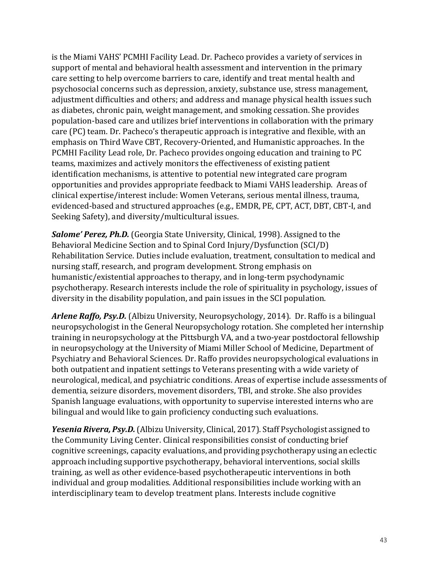is the Miami VAHS' PCMHI Facility Lead. Dr. Pacheco provides a variety of services in support of mental and behavioral health assessment and intervention in the primary care setting to help overcome barriers to care, identify and treat mental health and psychosocial concerns such as depression, anxiety, substance use, stress management, adjustment difficulties and others; and address and manage physical health issues such as diabetes, chronic pain, weight management, and smoking cessation. She provides population-based care and utilizes brief interventions in collaboration with the primary care (PC) team. Dr. Pacheco's therapeutic approach is integrative and flexible, with an emphasis on Third Wave CBT, Recovery-Oriented, and Humanistic approaches. In the PCMHI Facility Lead role, Dr. Pacheco provides ongoing education and training to PC teams, maximizes and actively monitors the effectiveness of existing patient identification mechanisms, is attentive to potential new integrated care program opportunities and provides appropriate feedback to Miami VAHS leadership. Areas of clinical expertise/interest include: Women Veterans, serious mental illness, trauma, evidenced-based and structured approaches (e.g., EMDR, PE, CPT, ACT, DBT, CBT-I, and Seeking Safety), and diversity/multicultural issues.

*Salome' Perez, Ph.D.* (Georgia State University, Clinical, 1998). Assigned to the Behavioral Medicine Section and to Spinal Cord Injury/Dysfunction (SCI/D) Rehabilitation Service. Duties include evaluation, treatment, consultation to medical and nursing staff, research, and program development. Strong emphasis on humanistic/existential approaches to therapy, and in long-term psychodynamic psychotherapy. Research interests include the role of spirituality in psychology, issues of diversity in the disability population, and pain issues in the SCI population.

*Arlene Raffo, Psy.D.* (Albizu University, Neuropsychology, 2014). Dr. Raffo is a bilingual neuropsychologist in the General Neuropsychology rotation. She completed her internship training in neuropsychology at the Pittsburgh VA, and a two-year postdoctoral fellowship in neuropsychology at the University of Miami Miller School of Medicine, Department of Psychiatry and Behavioral Sciences. Dr. Raffo provides neuropsychological evaluations in both outpatient and inpatient settings to Veterans presenting with a wide variety of neurological, medical, and psychiatric conditions. Areas of expertise include assessments of dementia, seizure disorders, movement disorders, TBI, and stroke. She also provides Spanish language evaluations, with opportunity to supervise interested interns who are bilingual and would like to gain proficiency conducting such evaluations.

*Yesenia Rivera, Psy.D.*(Albizu University, Clinical, 2017). Staff Psychologist assigned to the Community Living Center. Clinical responsibilities consist of conducting brief cognitive screenings, capacity evaluations, and providing psychotherapy using an eclectic approach including supportive psychotherapy, behavioral interventions, social skills training, as well as other evidence-based psychotherapeutic interventions in both individual and group modalities. Additional responsibilities include working with an interdisciplinary team to develop treatment plans. Interests include cognitive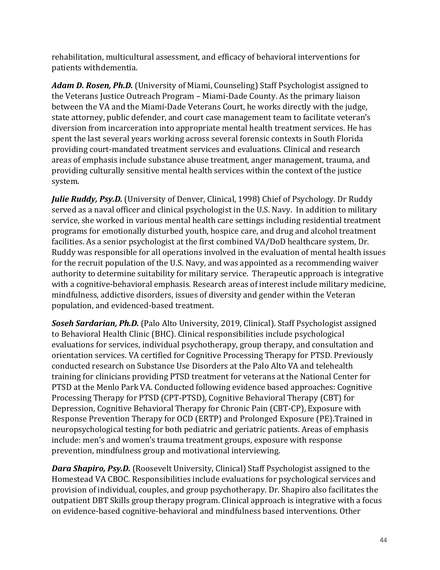rehabilitation, multicultural assessment, and efficacy of behavioral interventions for patients withdementia.

*Adam D. Rosen, Ph.D.* (University of Miami, Counseling) Staff Psychologist assigned to the Veterans Justice Outreach Program – Miami-Dade County. As the primary liaison between the VA and the Miami-Dade Veterans Court, he works directly with the judge, state attorney, public defender, and court case management team to facilitate veteran's diversion from incarceration into appropriate mental health treatment services. He has spent the last several years working across several forensic contexts in South Florida providing court-mandated treatment services and evaluations. Clinical and research areas of emphasis include substance abuse treatment, anger management, trauma, and providing culturally sensitive mental health services within the context of the justice system.

*Julie Ruddy, Psy.D.* (University of Denver, Clinical, 1998) Chief of Psychology. Dr Ruddy served as a naval officer and clinical psychologist in the U.S. Navy. In addition to military service, she worked in various mental health care settings including residential treatment programs for emotionally disturbed youth, hospice care, and drug and alcohol treatment facilities. As a senior psychologist at the first combined VA/DoD healthcare system, Dr. Ruddy was responsible for all operations involved in the evaluation of mental health issues for the recruit population of the U.S. Navy, and was appointed as a recommending waiver authority to determine suitability for military service. Therapeutic approach is integrative with a cognitive-behavioral emphasis. Research areas of interest include military medicine, mindfulness, addictive disorders, issues of diversity and gender within the Veteran population, and evidenced-based treatment.

*Soseh Sardarian, Ph.D.* (Palo Alto University, 2019, Clinical). Staff Psychologist assigned to Behavioral Health Clinic (BHC). Clinical responsibilities include psychological evaluations for services, individual psychotherapy, group therapy, and consultation and orientation services. VA certified for Cognitive Processing Therapy for PTSD. Previously conducted research on Substance Use Disorders at the Palo Alto VA and telehealth training for clinicians providing PTSD treatment for veterans at the National Center for PTSD at the Menlo Park VA. Conducted following evidence based approaches: Cognitive Processing Therapy for PTSD (CPT-PTSD), Cognitive Behavioral Therapy (CBT) for Depression, Cognitive Behavioral Therapy for Chronic Pain (CBT-CP), Exposure with Response Prevention Therapy for OCD (ERTP) and Prolonged Exposure (PE).Trained in neuropsychological testing for both pediatric and geriatric patients. Areas of emphasis include: men's and women's trauma treatment groups, exposure with response prevention, mindfulness group and motivational interviewing.

*Dara Shapiro, Psy.D.* (Roosevelt University, Clinical) Staff Psychologist assigned to the Homestead VA CBOC. Responsibilities include evaluations for psychological services and provision of individual, couples, and group psychotherapy. Dr. Shapiro also facilitates the outpatient DBT Skills group therapy program. Clinical approach is integrative with a focus on evidence-based cognitive-behavioral and mindfulness based interventions. Other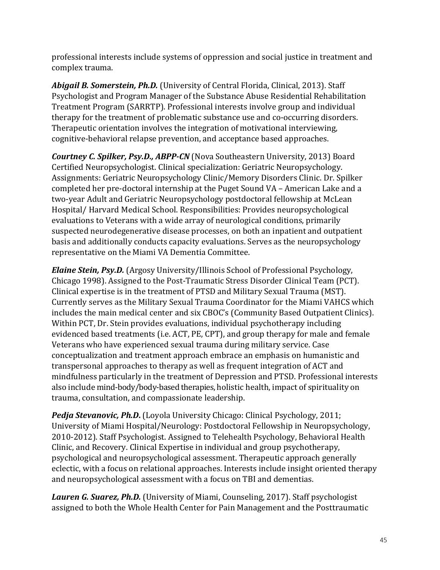professional interests include systems of oppression and social justice in treatment and complex trauma.

*Abigail B. Somerstein, Ph.D.* (University of Central Florida, Clinical, 2013). Staff Psychologist and Program Manager of the Substance Abuse Residential Rehabilitation Treatment Program (SARRTP). Professional interests involve group and individual therapy for the treatment of problematic substance use and co-occurring disorders. Therapeutic orientation involves the integration of motivational interviewing, cognitive-behavioral relapse prevention, and acceptance based approaches.

*Courtney C. Spilker, Psy.D., ABPP-CN* (Nova Southeastern University, 2013) Board Certified Neuropsychologist. Clinical specialization: Geriatric Neuropsychology. Assignments: Geriatric Neuropsychology Clinic/Memory Disorders Clinic. Dr. Spilker completed her pre-doctoral internship at the Puget Sound VA – American Lake and a two-year Adult and Geriatric Neuropsychology postdoctoral fellowship at McLean Hospital/ Harvard Medical School. Responsibilities: Provides neuropsychological evaluations to Veterans with a wide array of neurological conditions, primarily suspected neurodegenerative disease processes, on both an inpatient and outpatient basis and additionally conducts capacity evaluations. Serves as the neuropsychology representative on the Miami VA Dementia Committee.

*Elaine Stein, Psy.D.* (Argosy University/Illinois School of Professional Psychology, Chicago 1998). Assigned to the Post-Traumatic Stress Disorder Clinical Team (PCT). Clinical expertise is in the treatment of PTSD and Military Sexual Trauma (MST). Currently serves as the Military Sexual Trauma Coordinator for the Miami VAHCS which includes the main medical center and six CBOC's (Community Based Outpatient Clinics). Within PCT, Dr. Stein provides evaluations, individual psychotherapy including evidenced based treatments (i.e. ACT, PE, CPT), and group therapy for male and female Veterans who have experienced sexual trauma during military service. Case conceptualization and treatment approach embrace an emphasis on humanistic and transpersonal approaches to therapy as well as frequent integration of ACT and mindfulness particularly in the treatment of Depression and PTSD. Professional interests also include mind-body/body-based therapies, holistic health, impact of spirituality on trauma, consultation, and compassionate leadership.

**Pedja Stevanovic, Ph.D.** (Loyola University Chicago: Clinical Psychology, 2011; University of Miami Hospital/Neurology: Postdoctoral Fellowship in Neuropsychology, 2010-2012). Staff Psychologist. Assigned to Telehealth Psychology, Behavioral Health Clinic, and Recovery. Clinical Expertise in individual and group psychotherapy, psychological and neuropsychological assessment. Therapeutic approach generally eclectic, with a focus on relational approaches. Interests include insight oriented therapy and neuropsychological assessment with a focus on TBI and dementias.

*Lauren G. Suarez, Ph.D.* (University of Miami, Counseling, 2017). Staff psychologist assigned to both the Whole Health Center for Pain Management and the Posttraumatic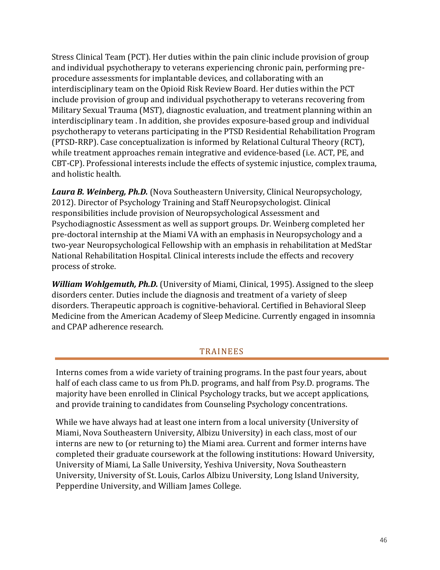Stress Clinical Team (PCT). Her duties within the pain clinic include provision of group and individual psychotherapy to veterans experiencing chronic pain, performing preprocedure assessments for implantable devices, and collaborating with an interdisciplinary team on the Opioid Risk Review Board. Her duties within the PCT include provision of group and individual psychotherapy to veterans recovering from Military Sexual Trauma (MST), diagnostic evaluation, and treatment planning within an interdisciplinary team . In addition, she provides exposure-based group and individual psychotherapy to veterans participating in the PTSD Residential Rehabilitation Program (PTSD-RRP). Case conceptualization is informed by Relational Cultural Theory (RCT), while treatment approaches remain integrative and evidence-based (i.e. ACT, PE, and CBT-CP). Professional interests include the effects of systemic injustice, complex trauma, and holistic health.

*Laura B. Weinberg, Ph.D.* (Nova Southeastern University, Clinical Neuropsychology, 2012). Director of Psychology Training and Staff Neuropsychologist. Clinical responsibilities include provision of Neuropsychological Assessment and Psychodiagnostic Assessment as well as support groups. Dr. Weinberg completed her pre-doctoral internship at the Miami VA with an emphasis in Neuropsychology and a two-year Neuropsychological Fellowship with an emphasis in rehabilitation at MedStar National Rehabilitation Hospital. Clinical interests include the effects and recovery process of stroke.

*William Wohlgemuth, Ph.D.* (University of Miami, Clinical, 1995). Assigned to the sleep disorders center. Duties include the diagnosis and treatment of a variety of sleep disorders. Therapeutic approach is cognitive-behavioral. Certified in Behavioral Sleep Medicine from the American Academy of Sleep Medicine. Currently engaged in insomnia and CPAP adherence research.

### TRAINEES

Interns comes from a wide variety of training programs. In the past four years, about half of each class came to us from Ph.D. programs, and half from Psy.D. programs. The majority have been enrolled in Clinical Psychology tracks, but we accept applications, and provide training to candidates from Counseling Psychology concentrations.

While we have always had at least one intern from a local university (University of Miami, Nova Southeastern University, Albizu University) in each class, most of our interns are new to (or returning to) the Miami area. Current and former interns have completed their graduate coursework at the following institutions: Howard University, University of Miami, La Salle University, Yeshiva University, Nova Southeastern University, University of St. Louis, Carlos Albizu University, Long Island University, Pepperdine University, and William James College.